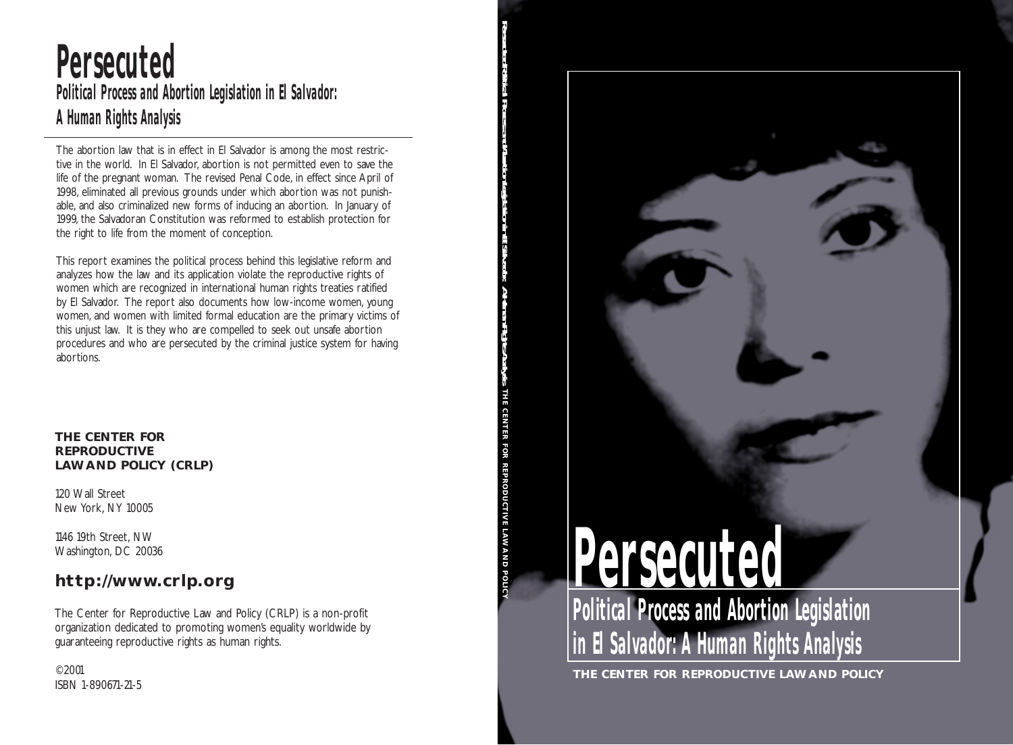# **Persecuted Political Process and Abortion Legislation in El Salvador: A Human Rights Analysis**

**THE CENTER FOR REPRODUCTIVE LAW AND POLICY**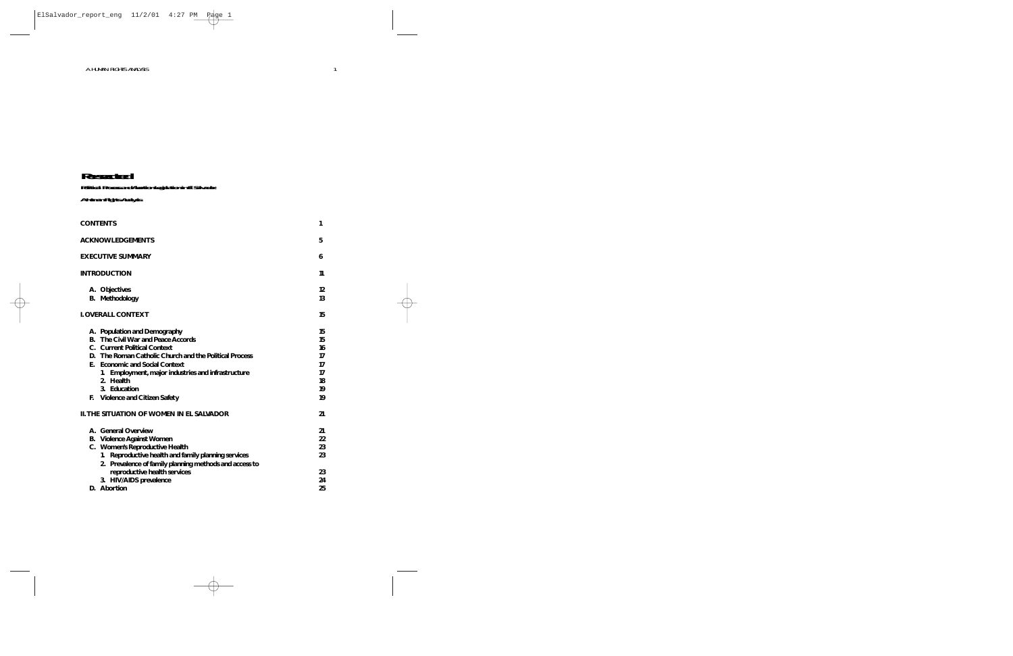### **Persecuted**

**Political Process and Abortion Legislation in El Salvador: A Human Rights Analysis**

| CONTENTS                                               | 1  |
|--------------------------------------------------------|----|
| <b>ACKNOWLEDGEMENTS</b>                                | 5  |
| EXECUTIVE SUMMARY                                      | 6  |
| INTRODUCTION                                           | 11 |
| A. Objectives                                          | 12 |
| <b>B.</b> Methodology                                  | 13 |
| I. OVERALL CONTEXT                                     | 15 |
| A. Population and Demography                           | 15 |
| B. The Civil War and Peace Accords                     | 15 |
| C. Current Political Context                           | 16 |
| D. The Roman Catholic Church and the Political Process | 17 |
| E. Economic and Social Context                         | 17 |
| Employment, major industries and infrastructure<br>1.  | 17 |
| 2. Health                                              | 18 |
| 3. Education                                           | 19 |
| F. Violence and Citizen Safety                         | 19 |
| II. THE SITUATION OF WOMEN IN EL SALVADOR              | 21 |
| A. General Overview                                    | 21 |
| B. Violence Against Women                              | 22 |
| C. Women's Reproductive Health                         | 23 |
| 1. Reproductive health and family planning services    | 23 |
| 2. Prevalence of family planning methods and access to |    |
| reproductive health services                           | 23 |
| 3. HIV/AIDS prevalence                                 | 24 |
| D. Abortion                                            | 25 |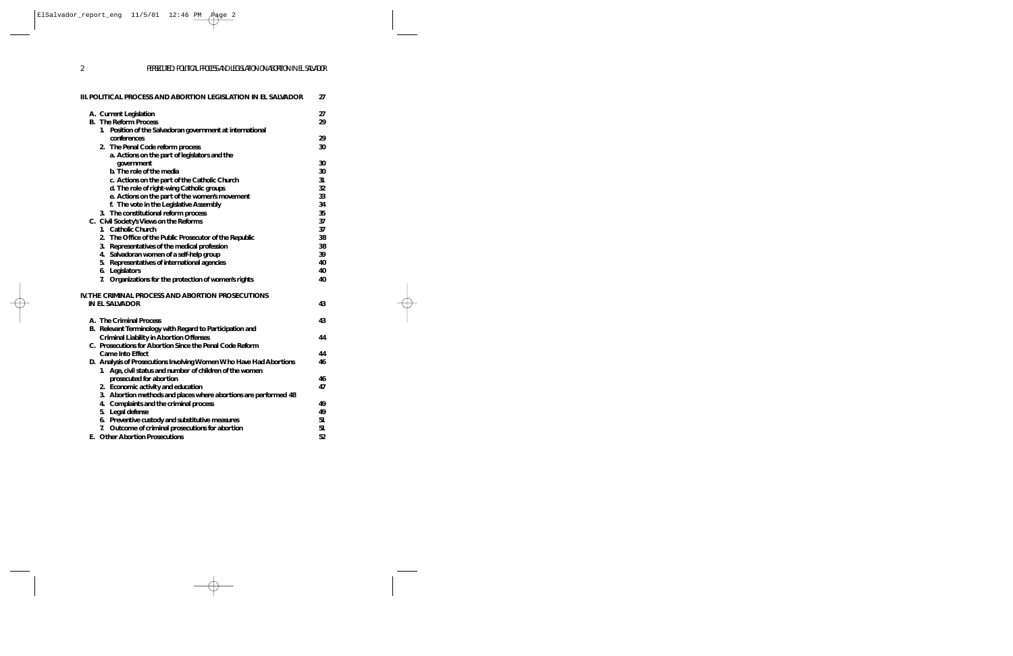|    | III. POLITICAL PROCESS AND ABORTION LEGISLATION IN EL SALVADOR     | 27 |
|----|--------------------------------------------------------------------|----|
|    | A. Current Legislation                                             | 27 |
|    | <b>B.</b> The Reform Process                                       | 29 |
|    | 1. Position of the Salvadoran government at international          |    |
|    | conferences                                                        | 29 |
|    | 2. The Penal Code reform process                                   | 30 |
|    | a. Actions on the part of legislators and the                      |    |
|    | government                                                         | 30 |
|    | b. The role of the media                                           | 30 |
|    | c. Actions on the part of the Catholic Church                      | 31 |
|    | d. The role of right-wing Catholic groups                          | 32 |
|    | e. Actions on the part of the women's movement                     | 33 |
|    | f. The vote in the Legislative Assembly                            | 34 |
|    | 3. The constitutional reform process                               | 35 |
|    | C. Civil Society's Views on the Reforms                            | 37 |
|    | 1. Catholic Church                                                 | 37 |
|    | 2. The Office of the Public Prosecutor of the Republic             | 38 |
|    | 3. Representatives of the medical profession                       | 38 |
|    | 4. Salvadoran women of a self-help group                           | 39 |
|    | 5. Representatives of international agencies                       | 40 |
|    | 6. Legislators                                                     | 40 |
|    | Organizations for the protection of women's rights<br>7.           | 40 |
|    | IV. THE CRIMINAL PROCESS AND ABORTION PROSECUTIONS                 |    |
|    | <b>IN EL SALVADOR</b>                                              | 43 |
|    | A. The Criminal Process                                            | 43 |
|    | B. Relevant Terminology with Regard to Participation and           |    |
|    | <b>Criminal Liability in Abortion Offenses</b>                     | 44 |
|    | C. Prosecutions for Abortion Since the Penal Code Reform           |    |
|    | Came Into Effect                                                   | 44 |
|    | D. Analysis of Prosecutions Involving Women Who Have Had Abortions | 46 |
|    | 1. Age, civil status and number of children of the women           |    |
|    | prosecuted for abortion                                            | 46 |
|    | 2. Economic activity and education                                 | 47 |
|    | 3. Abortion methods and places where abortions are performed 48    |    |
|    | 4. Complaints and the criminal process                             | 49 |
|    | 5. Legal defense                                                   | 49 |
|    | 6. Preventive custody and substitutive measures                    | 51 |
|    | Outcome of criminal prosecutions for abortion<br>7.                | 51 |
| Е. | <b>Other Abortion Prosecutions</b>                                 | 52 |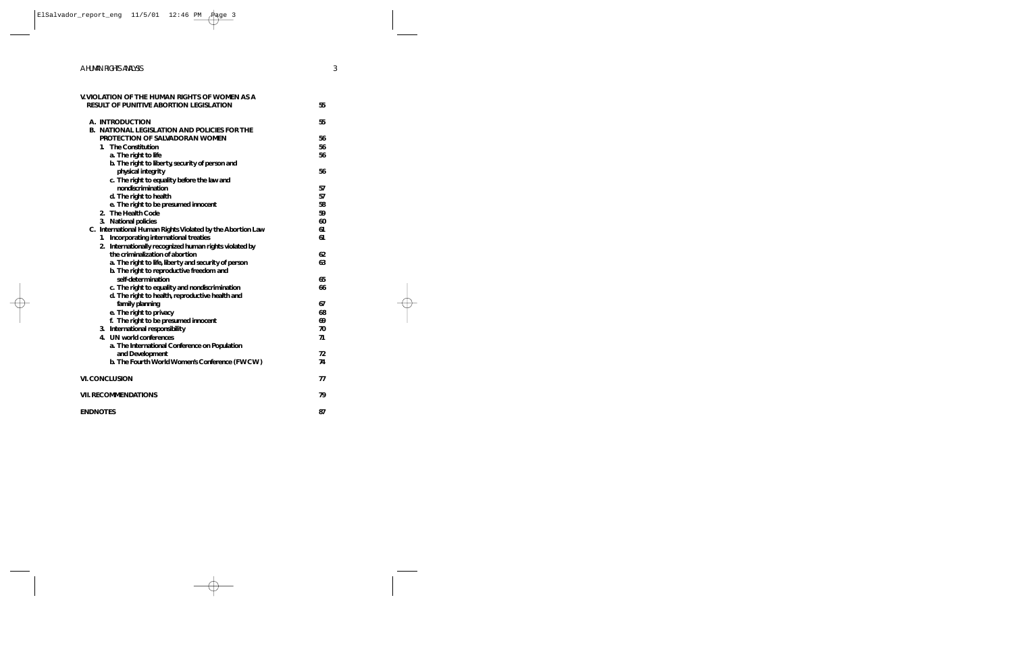| V. VIOLATION OF THE HUMAN RIGHTS OF WOMEN AS A             |    |
|------------------------------------------------------------|----|
| <b>RESULT OF PUNITIVE ABORTION LEGISLATION</b>             | 55 |
|                                                            |    |
| A. INTRODUCTION                                            | 55 |
| <b>B. NATIONAL LEGISLATION AND POLICIES FOR THE</b>        |    |
| PROTECTION OF SALVADORAN WOMEN                             | 56 |
| 1. The Constitution                                        | 56 |
| a. The right to life                                       | 56 |
| b. The right to liberty, security of person and            |    |
| physical integrity                                         | 56 |
| c. The right to equality before the law and                |    |
| nondiscrimination                                          | 57 |
| d. The right to health                                     | 57 |
| e. The right to be presumed innocent                       | 58 |
| 2. The Health Code                                         | 59 |
| 3. National policies                                       | 60 |
| C. International Human Rights Violated by the Abortion Law | 61 |
| 1. Incorporating international treaties                    | 61 |
| 2. Internationally recognized human rights violated by     |    |
| the criminalization of abortion                            | 62 |
| a. The right to life, liberty and security of person       | 63 |
| b. The right to reproductive freedom and                   |    |
| self-determination                                         | 65 |
| c. The right to equality and nondiscrimination             | 66 |
| d. The right to health, reproductive health and            |    |
| family planning                                            | 67 |
| e. The right to privacy                                    | 68 |
| f. The right to be presumed innocent                       | 69 |
| 3. International responsibility                            | 70 |
| 4. UN world conferences                                    | 71 |
| a. The International Conference on Population              |    |
| and Development                                            | 72 |
| b. The Fourth World Women's Conference (FWCW)              | 74 |
| VI. CONCLUSION                                             | 77 |
|                                                            |    |
| <b>VII. RECOMMENDATIONS</b>                                | 79 |
| endnotes                                                   |    |
|                                                            |    |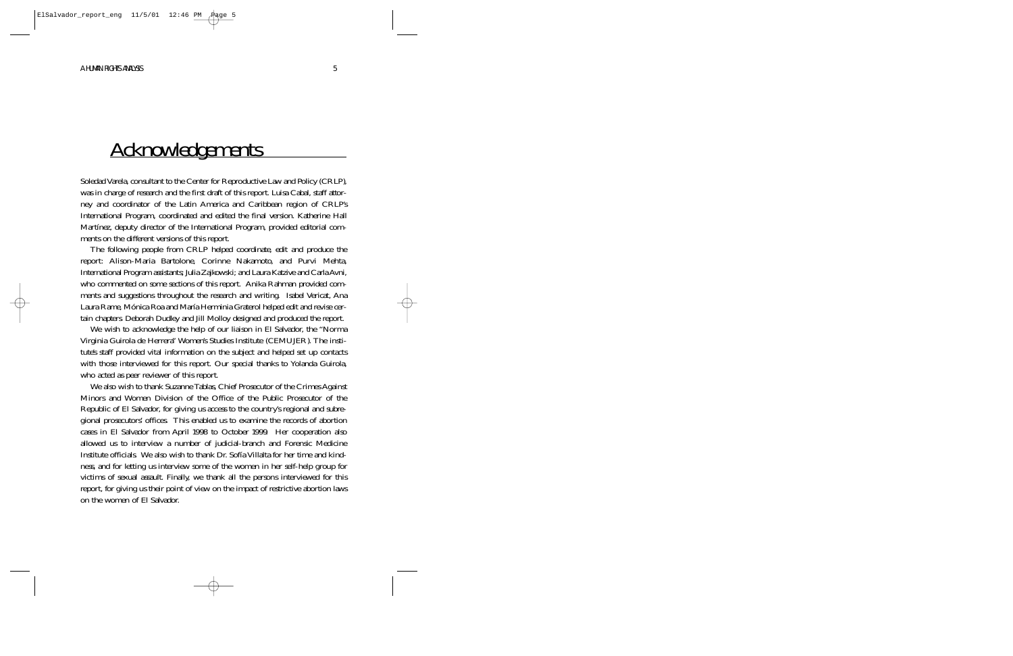# Acknowledgements

Soledad Varela, consultant to the Center for Reproductive Law and Policy (CRLP), was in charge of research and the first draft of this report. Luisa Cabal, staff attorney and coordinator of the Latin America and Caribbean region of CRLP's International Program, coordinated and edited the final version. Katherine Hall Martínez, deputy director of the International Program, provided editorial comments on the different versions of this report.

The following people from CRLP helped coordinate, edit and produce the report: Alison-Maria Bartolone, Corinne Nakamoto, and Purvi Mehta, International Program assistants; Julia Zajkowski; and Laura Katzive and Carla Avni, who commented on some sections of this report. Anika Rahman provided comments and suggestions throughout the research and writing. Isabel Vericat, Ana Laura Rame, Mónica Roa and María Herminia Graterol helped edit and revise certain chapters. Deborah Dudley and Jill Molloy designed and produced the report.

We wish to acknowledge the help of our liaison in El Salvador, the "Norma Virginia Guirola de Herrera" Women's Studies Institute (CEMUJER). The institute's staff provided vital information on the subject and helped set up contacts with those interviewed for this report. Our special thanks to Yolanda Guirola, who acted as peer reviewer of this report.

We also wish to thank Suzanne Tablas, Chief Prosecutor of the Crimes Against Minors and Women Division of the Office of the Public Prosecutor of the Republic of El Salvador, for giving us access to the country's regional and subregional prosecutors' offices. This enabled us to examine the records of abortion cases in El Salvador from April 1998 to October 1999. Her cooperation also allowed us to interview a number of judicial-branch and Forensic Medicine Institute officials. We also wish to thank Dr. Sofía Villalta for her time and kindness, and for letting us interview some of the women in her self-help group for victims of sexual assault. Finally, we thank all the persons interviewed for this report, for giving us their point of view on the impact of restrictive abortion laws on the women of El Salvador.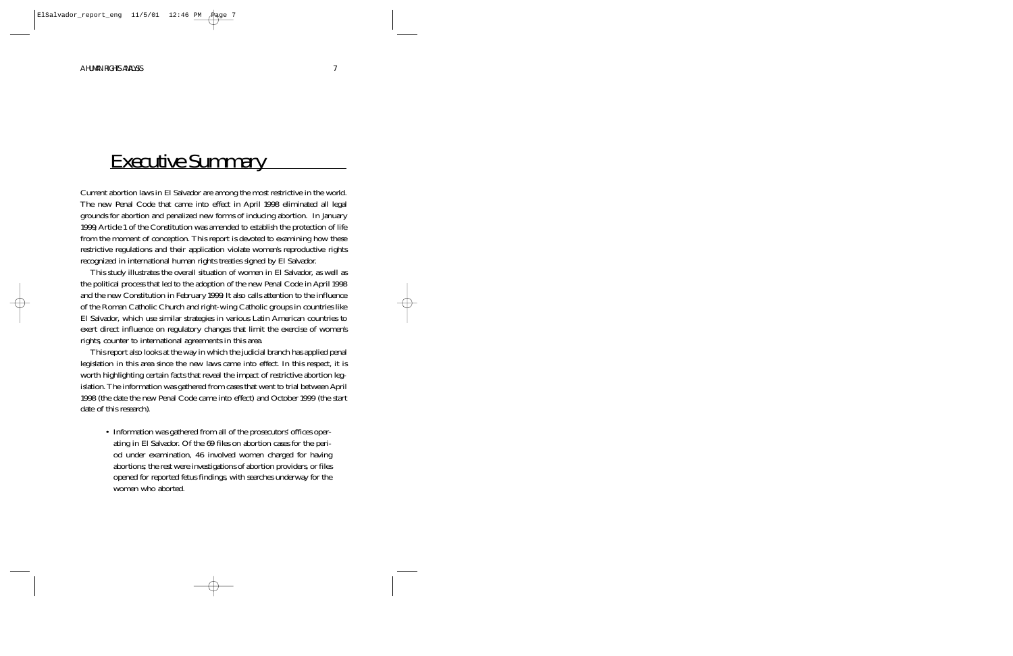## Executive Summary

Current abortion laws in El Salvador are among the most restrictive in the world. The new Penal Code that came into effect in April 1998 eliminated all legal grounds for abortion and penalized new forms of inducing abortion. In January 1999, Article 1 of the Constitution was amended to establish the protection of life from the moment of conception. This report is devoted to examining how these restrictive regulations and their application violate women's reproductive rights recognized in international human rights treaties signed by El Salvador.

This study illustrates the overall situation of women in El Salvador, as well as the political process that led to the adoption of the new Penal Code in April 1998 and the new Constitution in February 1999. It also calls attention to the influence of the Roman Catholic Church and right-wing Catholic groups in countries like El Salvador, which use similar strategies in various Latin American countries to exert direct influence on regulatory changes that limit the exercise of women's rights, counter to international agreements in this area.

This report also looks at the way in which the judicial branch has applied penal legislation in this area since the new laws came into effect. In this respect, it is worth highlighting certain facts that reveal the impact of restrictive abortion legislation. The information was gathered from cases that went to trial between April 1998 (the date the new Penal Code came into effect) and October 1999 (the start date of this research).

• Information was gathered from all of the prosecutors' offices operating in El Salvador. Of the 69 files on abortion cases for the period under examination, 46 involved women charged for having abortions; the rest were investigations of abortion providers, or files opened for reported fetus findings, with searches underway for the women who aborted.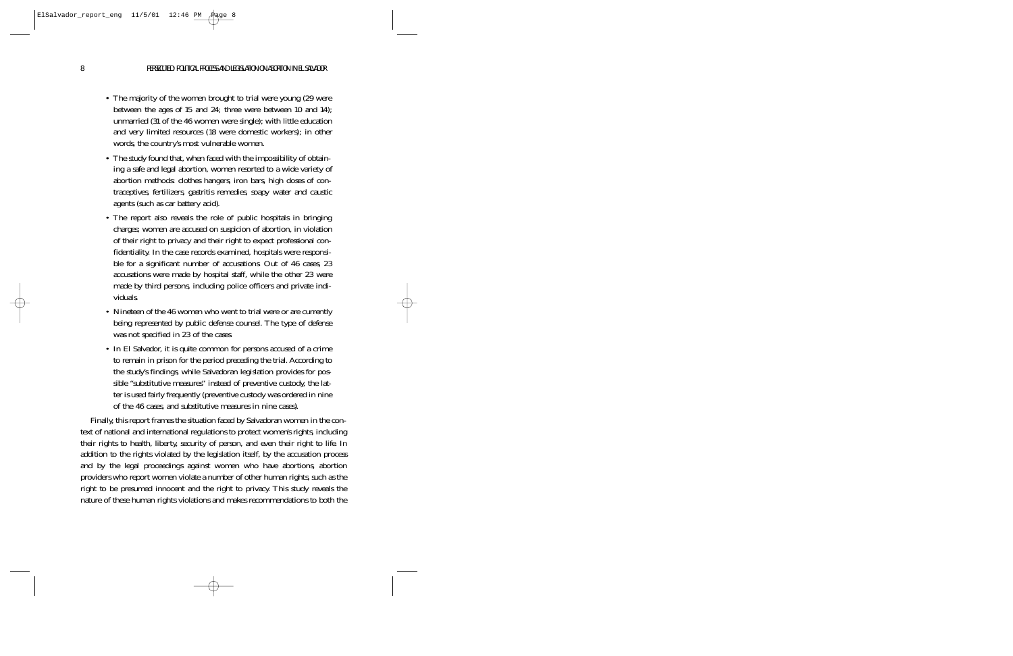- The majority of the women brought to trial were young (29 were between the ages of 15 and 24; three were between 10 and 14); unmarried (31 of the 46 women were single); with little education and very limited resources (18 were domestic workers); in other words, the country's most vulnerable women.
- The study found that, when faced with the impossibility of obtaining a safe and legal abortion, women resorted to a wide variety of abortion methods: clothes hangers, iron bars, high doses of contraceptives, fertilizers, gastritis remedies, soapy water and caustic agents (such as car battery acid).
- The report also reveals the role of public hospitals in bringing charges; women are accused on suspicion of abortion, in violation of their right to privacy and their right to expect professional confidentiality. In the case records examined, hospitals were responsible for a significant number of accusations. Out of 46 cases, 23 accusations were made by hospital staff, while the other 23 were made by third persons, including police officers and private individuals.
- Nineteen of the 46 women who went to trial were or are currently being represented by public defense counsel. The type of defense was not specified in 23 of the cases.
- In El Salvador, it is quite common for persons accused of a crime to remain in prison for the period preceding the trial. According to the study's findings, while Salvadoran legislation provides for possible "substitutive measures" instead of preventive custody, the latter is used fairly frequently (preventive custody was ordered in nine of the 46 cases, and substitutive measures in nine cases).

Finally, this report frames the situation faced by Salvadoran women in the context of national and international regulations to protect women's rights, including their rights to health, liberty, security of person, and even their right to life. In addition to the rights violated by the legislation itself, by the accusation process and by the legal proceedings against women who have abortions, abortion providers who report women violate a number of other human rights, such as the right to be presumed innocent and the right to privacy. This study reveals the nature of these human rights violations and makes recommendations to both the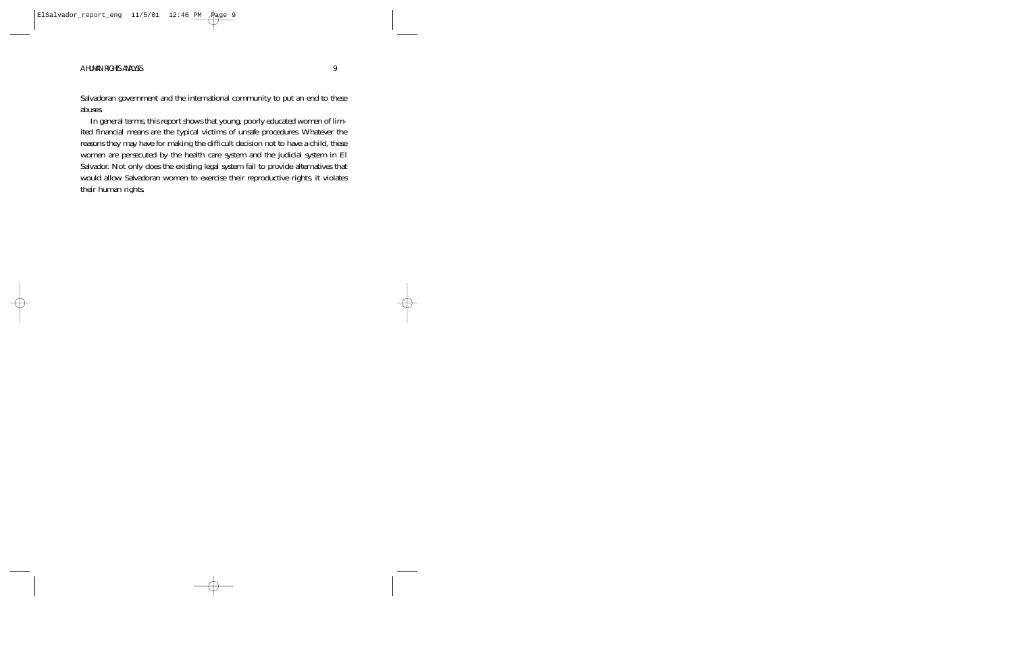Salvadoran government and the international community to put an end to these abuses.

In general terms, this report shows that young, poorly educated women of limited financial means are the typical victims of unsafe procedures. Whatever the reasons they may have for making the difficult decision not to have a child, these women are persecuted by the health care system and the judicial system in El Salvador. Not only does the existing legal system fail to provide alternatives that would allow Salvadoran women to exercise their reproductive rights, it violates their human rights.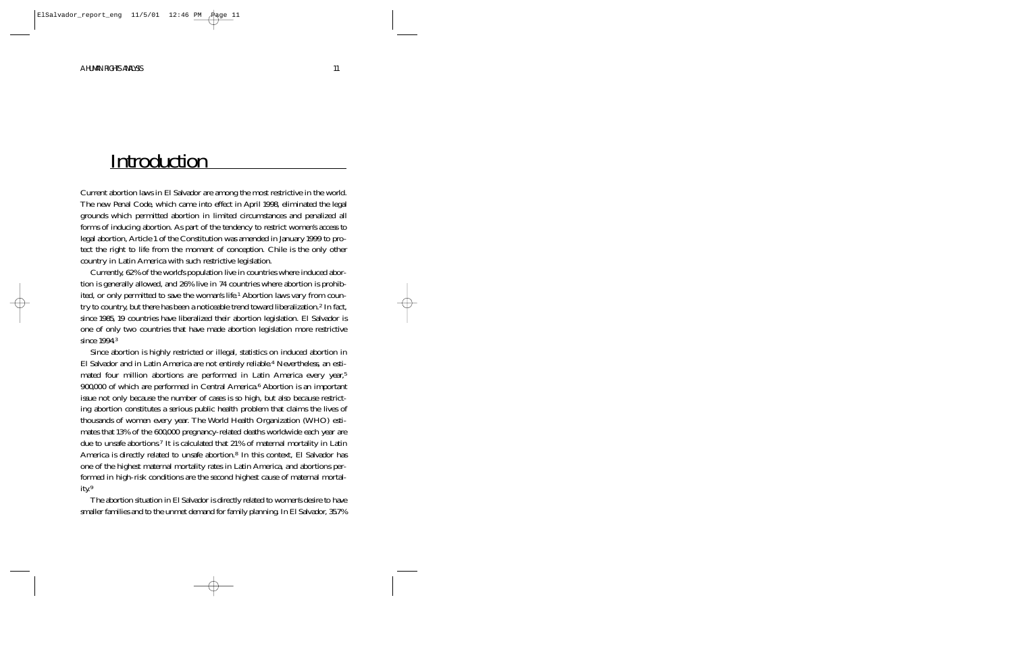### **Introduction**

Current abortion laws in El Salvador are among the most restrictive in the world. The new Penal Code, which came into effect in April 1998, eliminated the legal grounds which permitted abortion in limited circumstances and penalized all forms of inducing abortion. As part of the tendency to restrict women's access to legal abortion, Article 1 of the Constitution was amended in January 1999 to protect the right to life from the moment of conception. Chile is the only other country in Latin America with such restrictive legislation.

Currently, 62% of the world's population live in countries where induced abortion is generally allowed, and 26% live in 74 countries where abortion is prohibited, or only permitted to save the woman's life.1 Abortion laws vary from country to country, but there has been a noticeable trend toward liberalization.<sup>2</sup> In fact, since 1985, 19 countries have liberalized their abortion legislation. El Salvador is one of only two countries that have made abortion legislation more restrictive since 1994.<sup>3</sup>

Since abortion is highly restricted or illegal, statistics on induced abortion in El Salvador and in Latin America are not entirely reliable.4 Nevertheless, an estimated four million abortions are performed in Latin America every year,<sup>5</sup> 900,000 of which are performed in Central America.6 Abortion is an important issue not only because the number of cases is so high, but also because restricting abortion constitutes a serious public health problem that claims the lives of thousands of women every year. The World Health Organization (WHO) estimates that 13% of the 600,000 pregnancy-related deaths worldwide each year are due to unsafe abortions.7 It is calculated that 21% of maternal mortality in Latin America is directly related to unsafe abortion.8 In this context, El Salvador has one of the highest maternal mortality rates in Latin America, and abortions performed in high-risk conditions are the second highest cause of maternal mortality.9

The abortion situation in El Salvador is directly related to women's desire to have smaller families and to the unmet demand for family planning. In El Salvador, 35.7%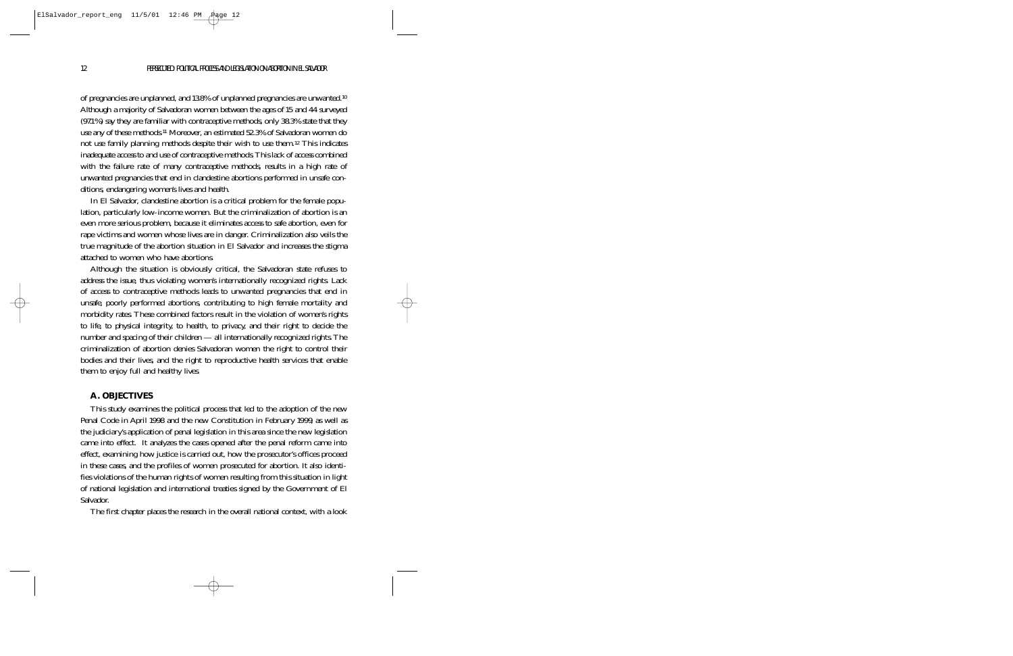of pregnancies are unplanned, and 13.8% of unplanned pregnancies are unwanted.10 Although a majority of Salvadoran women between the ages of 15 and 44 surveyed (97.1%) say they are familiar with contraceptive methods, only 38.3% state that they use any of these methods.11 Moreover, an estimated 52.3% of Salvadoran women do not use family planning methods despite their wish to use them.12 This indicates inadequate access to and use of contraceptive methods. This lack of access combined with the failure rate of many contraceptive methods, results in a high rate of unwanted pregnancies that end in clandestine abortions performed in unsafe conditions, endangering women's lives and health.

In El Salvador, clandestine abortion is a critical problem for the female population, particularly low-income women. But the criminalization of abortion is an even more serious problem, because it eliminates access to safe abortion, even for rape victims and women whose lives are in danger. Criminalization also veils the true magnitude of the abortion situation in El Salvador and increases the stigma attached to women who have abortions.

Although the situation is obviously critical, the Salvadoran state refuses to address the issue, thus violating women's internationally recognized rights. Lack of access to contraceptive methods leads to unwanted pregnancies that end in unsafe, poorly performed abortions, contributing to high female mortality and morbidity rates. These combined factors result in the violation of women's rights to life, to physical integrity, to health, to privacy, and their right to decide the number and spacing of their children — all internationally recognized rights. The criminalization of abortion denies Salvadoran women the right to control their bodies and their lives, and the right to reproductive health services that enable them to enjoy full and healthy lives.

#### **A. OBJECTIVES**

This study examines the political process that led to the adoption of the new Penal Code in April 1998 and the new Constitution in February 1999, as well as the judiciary's application of penal legislation in this area since the new legislation came into effect. It analyzes the cases opened after the penal reform came into effect, examining how justice is carried out, how the prosecutor's offices proceed in these cases, and the profiles of women prosecuted for abortion. It also identifies violations of the human rights of women resulting from this situation in light of national legislation and international treaties signed by the Government of El Salvador.

The first chapter places the research in the overall national context, with a look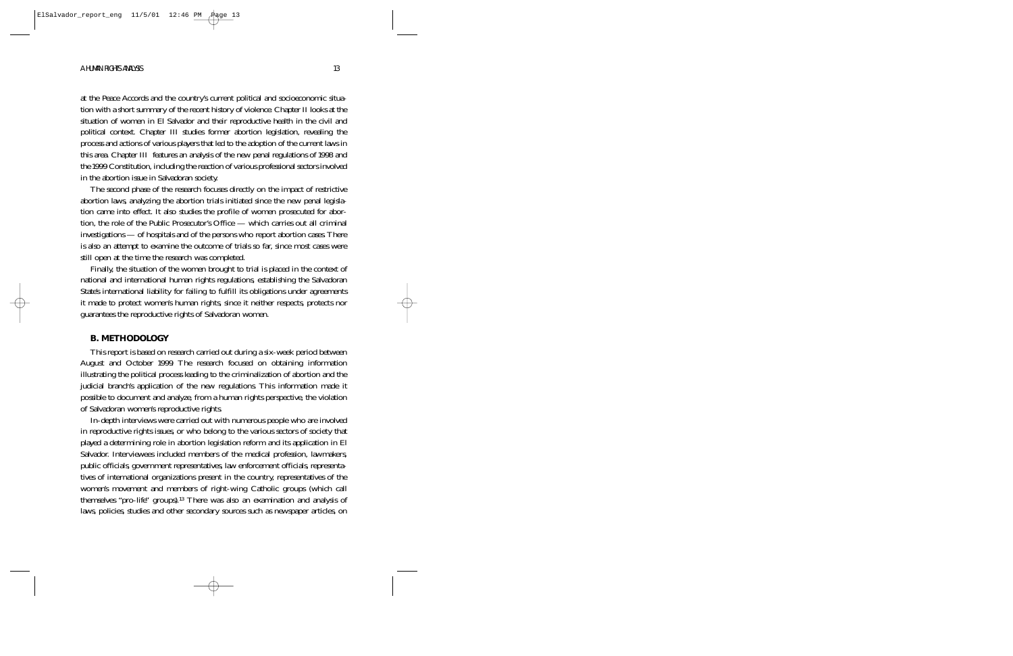at the Peace Accords and the country's current political and socioeconomic situation with a short summary of the recent history of violence. Chapter II looks at the situation of women in El Salvador and their reproductive health in the civil and political context. Chapter III studies former abortion legislation, revealing the process and actions of various players that led to the adoption of the current laws in this area. Chapter III features an analysis of the new penal regulations of 1998 and the 1999 Constitution, including the reaction of various professional sectors involved in the abortion issue in Salvadoran society.

The second phase of the research focuses directly on the impact of restrictive abortion laws, analyzing the abortion trials initiated since the new penal legislation came into effect. It also studies the profile of women prosecuted for abortion, the role of the Public Prosecutor's Office — which carries out all criminal investigations — of hospitals and of the persons who report abortion cases. There is also an attempt to examine the outcome of trials so far, since most cases were still open at the time the research was completed.

Finally, the situation of the women brought to trial is placed in the context of national and international human rights regulations, establishing the Salvadoran State's international liability for failing to fulfill its obligations under agreements it made to protect women's human rights, since it neither respects, protects nor guarantees the reproductive rights of Salvadoran women.

#### **B. METHODOLOGY**

This report is based on research carried out during a six-week period between August and October 1999. The research focused on obtaining information illustrating the political process leading to the criminalization of abortion and the judicial branch's application of the new regulations. This information made it possible to document and analyze, from a human rights perspective, the violation of Salvadoran women's reproductive rights.

In-depth interviews were carried out with numerous people who are involved in reproductive rights issues, or who belong to the various sectors of society that played a determining role in abortion legislation reform and its application in El Salvador. Interviewees included members of the medical profession, lawmakers, public officials, government representatives, law enforcement officials, representatives of international organizations present in the country, representatives of the women's movement and members of right-wing Catholic groups (which call themselves "pro-life" groups).13 There was also an examination and analysis of laws, policies, studies and other secondary sources such as newspaper articles, on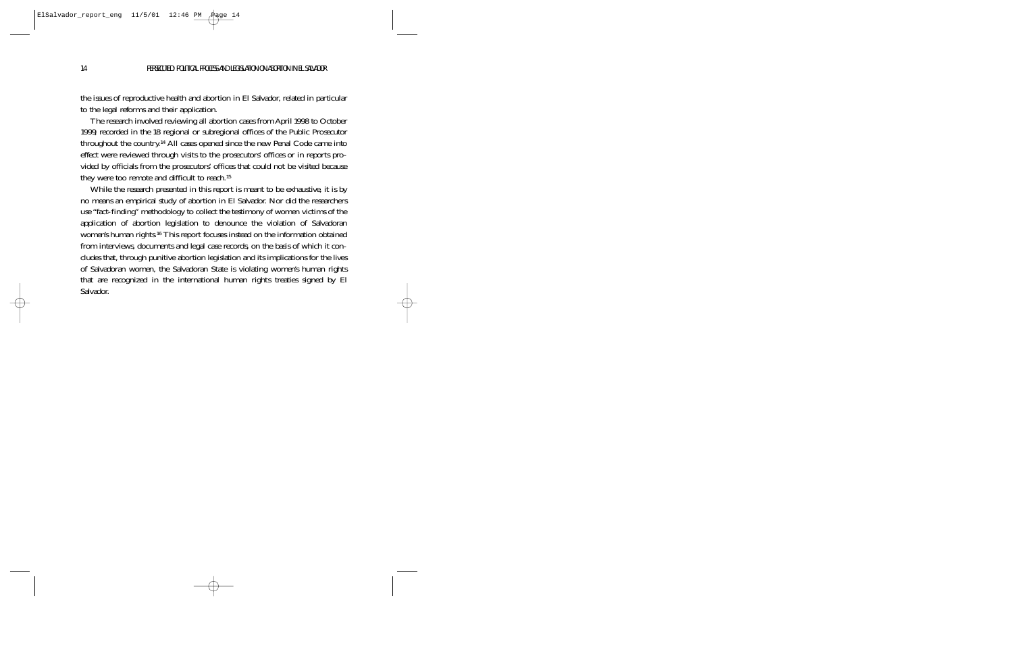the issues of reproductive health and abortion in El Salvador, related in particular to the legal reforms and their application.

The research involved reviewing all abortion cases from April 1998 to October 1999, recorded in the 18 regional or subregional offices of the Public Prosecutor throughout the country.14 All cases opened since the new Penal Code came into effect were reviewed through visits to the prosecutors' offices or in reports provided by officials from the prosecutors' offices that could not be visited because they were too remote and difficult to reach.15

While the research presented in this report is meant to be exhaustive, it is by no means an empirical study of abortion in El Salvador. Nor did the researchers use "fact-finding" methodology to collect the testimony of women victims of the application of abortion legislation to denounce the violation of Salvadoran women's human rights.16 This report focuses instead on the information obtained from interviews, documents and legal case records, on the basis of which it concludes that, through punitive abortion legislation and its implications for the lives of Salvadoran women, the Salvadoran State is violating women's human rights that are recognized in the international human rights treaties signed by El Salvador.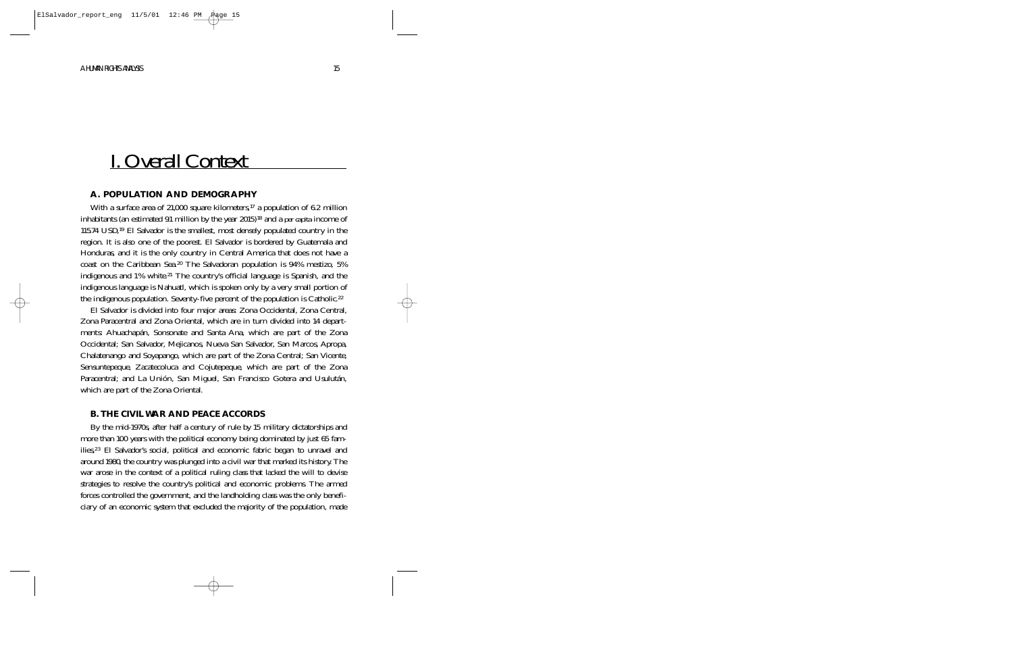## I. Overall Context

#### **A. POPULATION AND DEMOGRAPHY**

With a surface area of  $21,000$  square kilometers,<sup>17</sup> a population of 6.2 million inhabitants (an estimated 91 million by the year 2015)<sup>18</sup> and a *per capita* income of 115.74 USD,19 El Salvador is the smallest, most densely populated country in the region. It is also one of the poorest. El Salvador is bordered by Guatemala and Honduras, and it is the only country in Central America that does not have a coast on the Caribbean Sea.20 The Salvadoran population is 94% mestizo, 5% indigenous and 1% white.<sup>21</sup> The country's official language is Spanish, and the indigenous language is Nahuatl, which is spoken only by a very small portion of the indigenous population. Seventy-five percent of the population is Catholic.<sup>22</sup>

El Salvador is divided into four major areas: Zona Occidental, Zona Central, Zona Paracentral and Zona Oriental, which are in turn divided into 14 departments: Ahuachapán, Sonsonate and Santa Ana, which are part of the Zona Occidental; San Salvador, Mejicanos, Nueva San Salvador, San Marcos, Apropa, Chalatenango and Soyapango, which are part of the Zona Central; San Vicente, Sensuntepeque, Zacatecoluca and Cojutepeque, which are part of the Zona Paracentral; and La Unión, San Miguel, San Francisco Gotera and Usulután, which are part of the Zona Oriental.

#### **B. THE CIVIL WAR AND PEACE ACCORDS**

By the mid-1970s, after half a century of rule by 15 military dictatorships and more than 100 years with the political economy being dominated by just 65 families,23 El Salvador's social, political and economic fabric began to unravel and around 1980, the country was plunged into a civil war that marked its history. The war arose in the context of a political ruling class that lacked the will to devise strategies to resolve the country's political and economic problems. The armed forces controlled the government, and the landholding class was the only beneficiary of an economic system that excluded the majority of the population, made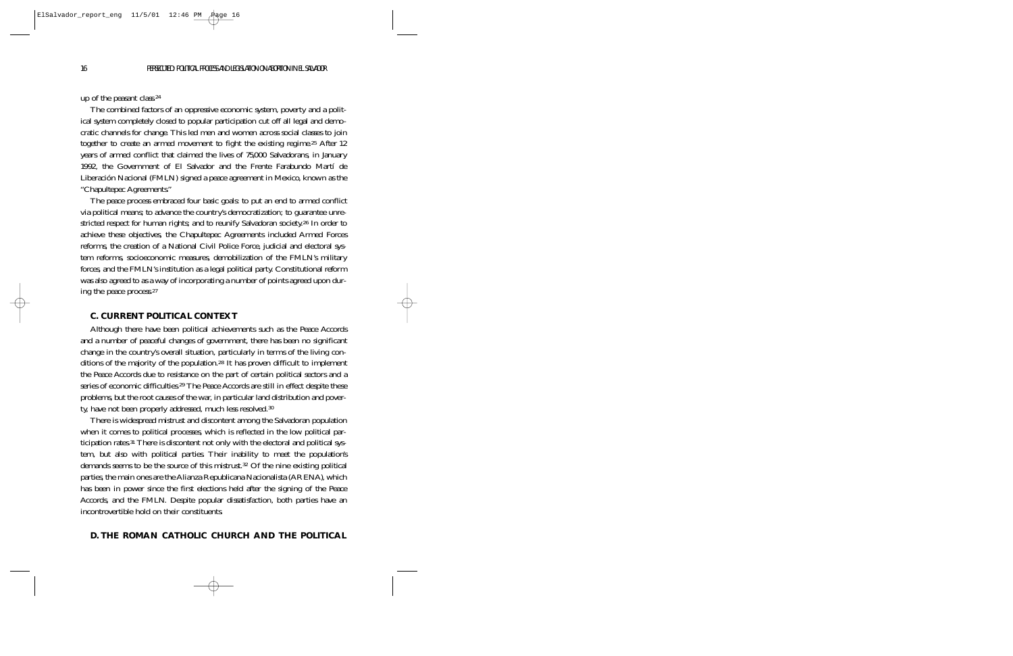up of the peasant class.24

The combined factors of an oppressive economic system, poverty and a political system completely closed to popular participation cut off all legal and democratic channels for change. This led men and women across social classes to join together to create an armed movement to fight the existing regime.25 After 12 years of armed conflict that claimed the lives of 75,000 Salvadorans, in January 1992, the Government of El Salvador and the Frente Farabundo Martí de Liberación Nacional (FMLN) signed a peace agreement in Mexico, known as the "Chapultepec Agreements."

The peace process embraced four basic goals: to put an end to armed conflict via political means; to advance the country's democratization; to guarantee unrestricted respect for human rights; and to reunify Salvadoran society.26 In order to achieve these objectives, the Chapultepec Agreements included Armed Forces reforms, the creation of a National Civil Police Force, judicial and electoral system reforms, socioeconomic measures, demobilization of the FMLN's military forces, and the FMLN's institution as a legal political party. Constitutional reform was also agreed to as a way of incorporating a number of points agreed upon during the peace process.27

#### **C. CURRENT POLITICAL CONTEXT**

Although there have been political achievements such as the Peace Accords and a number of peaceful changes of government, there has been no significant change in the country's overall situation, particularly in terms of the living conditions of the majority of the population.28 It has proven difficult to implement the Peace Accords due to resistance on the part of certain political sectors and a series of economic difficulties.<sup>29</sup> The Peace Accords are still in effect despite these problems, but the root causes of the war, in particular land distribution and poverty, have not been properly addressed, much less resolved.30

There is widespread mistrust and discontent among the Salvadoran population when it comes to political processes, which is reflected in the low political participation rates.31 There is discontent not only with the electoral and political system, but also with political parties. Their inability to meet the population's demands seems to be the source of this mistrust.32 Of the nine existing political parties, the main ones are the Alianza Republicana Nacionalista (ARENA), which has been in power since the first elections held after the signing of the Peace Accords, and the FMLN. Despite popular dissatisfaction, both parties have an incontrovertible hold on their constituents.

#### **D. THE ROMAN CATHOLIC CHURCH AND THE POLITICAL**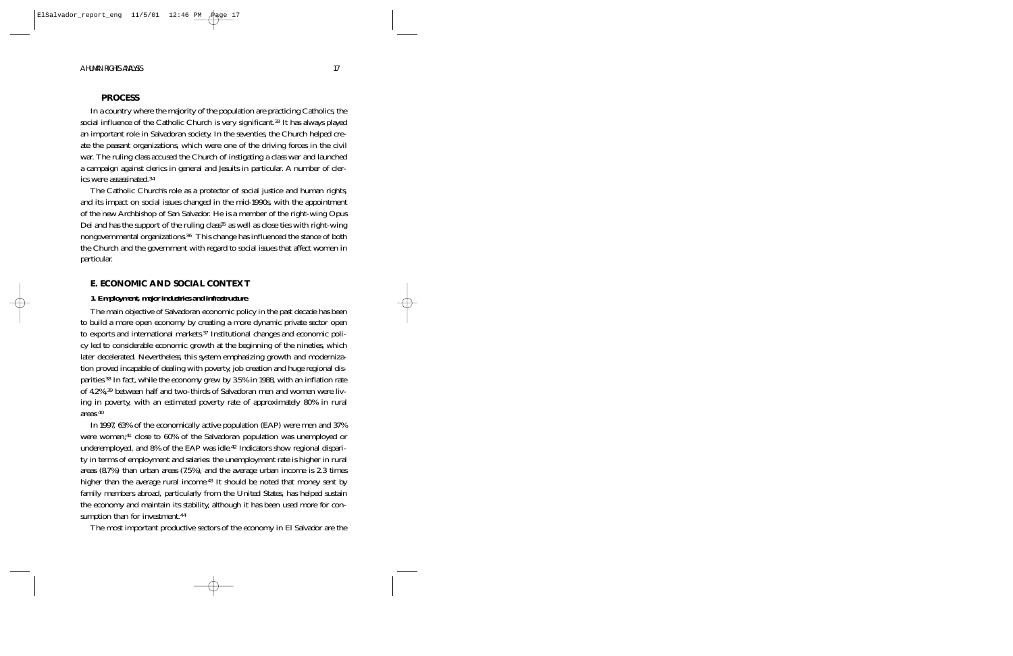#### **PROCESS**

In a country where the majority of the population are practicing Catholics, the social influence of the Catholic Church is very significant.<sup>33</sup> It has always played an important role in Salvadoran society. In the seventies, the Church helped create the peasant organizations, which were one of the driving forces in the civil war. The ruling class accused the Church of instigating a class war and launched a campaign against clerics in general and Jesuits in particular. A number of clerics were assassinated.34

The Catholic Church's role as a protector of social justice and human rights, and its impact on social issues changed in the mid-1990s, with the appointment of the new Archbishop of San Salvador. He is a member of the right-wing Opus Dei and has the support of the ruling class<sup>35</sup> as well as close ties with right-wing nongovernmental organizations.36 This change has influenced the stance of both the Church and the government with regard to social issues that affect women in particular.

#### **E. ECONOMIC AND SOCIAL CONTEXT**

#### *1. Employment, major industries and infrastructure*

The main objective of Salvadoran economic policy in the past decade has been to build a more open economy by creating a more dynamic private sector open to exports and international markets.37 Institutional changes and economic policy led to considerable economic growth at the beginning of the nineties, which later decelerated. Nevertheless, this system emphasizing growth and modernization proved incapable of dealing with poverty, job creation and huge regional disparities.38 In fact, while the economy grew by 3.5% in 1988, with an inflation rate of 4.2%,39 between half and two-thirds of Salvadoran men and women were living in poverty, with an estimated poverty rate of approximately 80% in rural areas.<sup>40</sup>

In 1997, 63% of the economically active population (EAP) were men and 37% were women;<sup>41</sup> close to 60% of the Salvadoran population was unemployed or underemployed, and 8% of the EAP was idle.42 Indicators show regional disparity in terms of employment and salaries: the unemployment rate is higher in rural areas (8.7%) than urban areas (7.5%), and the average urban income is 2.3 times higher than the average rural income.<sup>43</sup> It should be noted that money sent by family members abroad, particularly from the United States, has helped sustain the economy and maintain its stability, although it has been used more for consumption than for investment.<sup>44</sup>

The most important productive sectors of the economy in El Salvador are the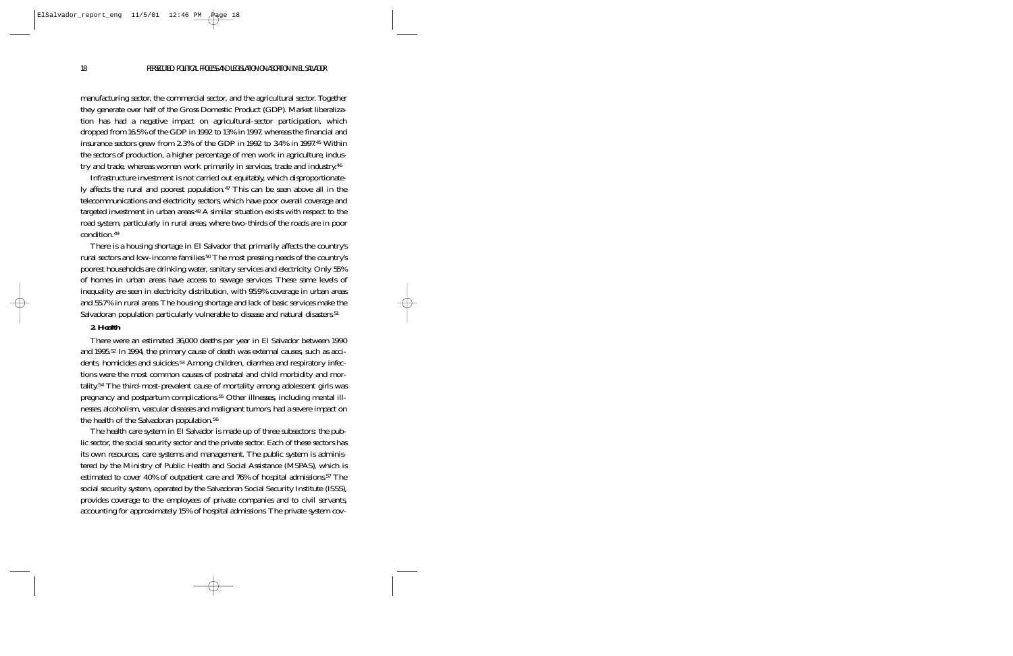manufacturing sector, the commercial sector, and the agricultural sector. Together they generate over half of the Gross Domestic Product (GDP). Market liberalization has had a negative impact on agricultural-sector participation, which dropped from 16.5% of the GDP in 1992 to 13% in 1997, whereas the financial and insurance sectors grew from 2.3% of the GDP in 1992 to 3.4% in 1997.45 Within the sectors of production, a higher percentage of men work in agriculture, industry and trade, whereas women work primarily in services, trade and industry.46

Infrastructure investment is not carried out equitably, which disproportionately affects the rural and poorest population.<sup>47</sup> This can be seen above all in the telecommunications and electricity sectors, which have poor overall coverage and targeted investment in urban areas.<sup>48</sup> A similar situation exists with respect to the road system, particularly in rural areas, where two-thirds of the roads are in poor condition.49

There is a housing shortage in El Salvador that primarily affects the country's rural sectors and low-income families.50 The most pressing needs of the country's poorest households are drinking water, sanitary services and electricity. Only 55% of homes in urban areas have access to sewage services. These same levels of inequality are seen in electricity distribution, with 95.9% coverage in urban areas and 55.7% in rural areas. The housing shortage and lack of basic services make the Salvadoran population particularly vulnerable to disease and natural disasters.<sup>51</sup>

#### *2. Health*

There were an estimated 36,000 deaths per year in El Salvador between 1990 and 1995.52 In 1994, the primary cause of death was external causes, such as accidents, homicides and suicides.<sup>53</sup> Among children, diarrhea and respiratory infections were the most common causes of postnatal and child morbidity and mortality.54 The third-most-prevalent cause of mortality among adolescent girls was pregnancy and postpartum complications.55 Other illnesses, including mental illnesses, alcoholism, vascular diseases and malignant tumors, had a severe impact on the health of the Salvadoran population.56

The health care system in El Salvador is made up of three subsectors: the public sector, the social security sector and the private sector. Each of these sectors has its own resources, care systems and management. The public system is administered by the Ministry of Public Health and Social Assistance (MSPAS), which is estimated to cover 40% of outpatient care and 76% of hospital admissions.<sup>57</sup> The social security system, operated by the Salvadoran Social Security Institute (ISSS), provides coverage to the employees of private companies and to civil servants, accounting for approximately 15% of hospital admissions. The private system cov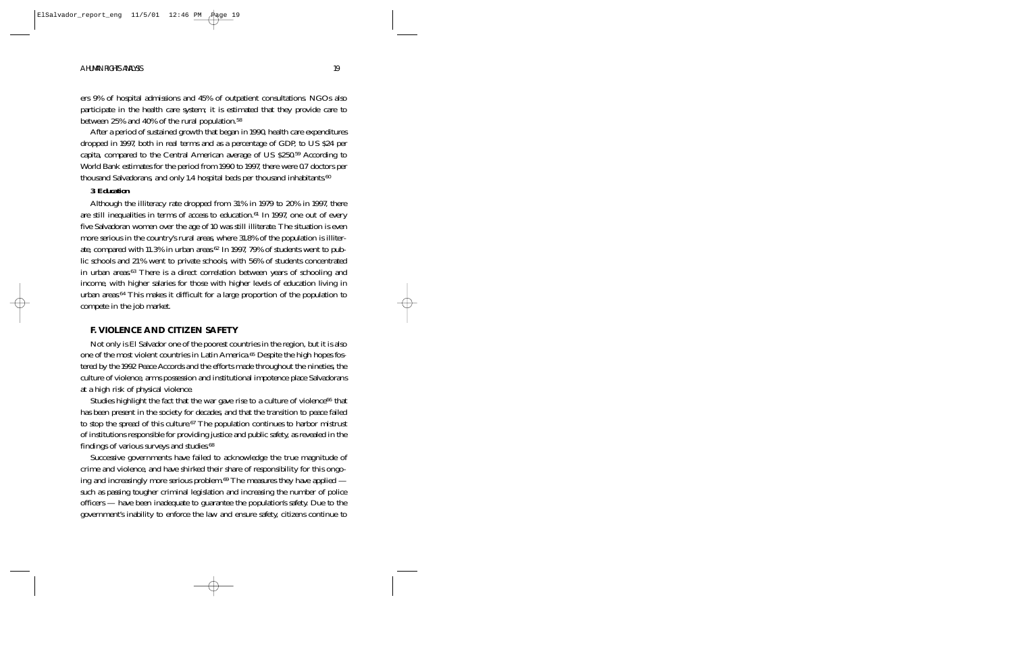ers 9% of hospital admissions and 45% of outpatient consultations. NGOs also participate in the health care system; it is estimated that they provide care to between 25% and 40% of the rural population.<sup>58</sup>

After a period of sustained growth that began in 1990, health care expenditures dropped in 1997, both in real terms and as a percentage of GDP, to US \$24 per capita, compared to the Central American average of US \$250.59 According to World Bank estimates for the period from 1990 to 1997, there were 0.7 doctors per thousand Salvadorans, and only 1.4 hospital beds per thousand inhabitants.<sup>60</sup>

#### *3. Education*

Although the illiteracy rate dropped from 31% in 1979 to 20% in 1997, there are still inequalities in terms of access to education.61 In 1997, one out of every five Salvadoran women over the age of 10 was still illiterate. The situation is even more serious in the country's rural areas, where 31.8% of the population is illiterate, compared with 11.3% in urban areas.62 In 1997, 79% of students went to public schools and 21% went to private schools, with 56% of students concentrated in urban areas.63 There is a direct correlation between years of schooling and income, with higher salaries for those with higher levels of education living in urban areas.64 This makes it difficult for a large proportion of the population to compete in the job market.

#### **F. VIOLENCE AND CITIZEN SAFETY**

Not only is El Salvador one of the poorest countries in the region, but it is also one of the most violent countries in Latin America.65 Despite the high hopes fostered by the 1992 Peace Accords and the efforts made throughout the nineties, the culture of violence, arms possession and institutional impotence place Salvadorans at a high risk of physical violence.

Studies highlight the fact that the war gave rise to a culture of violence<sup>66</sup> that has been present in the society for decades, and that the transition to peace failed to stop the spread of this culture.67 The population continues to harbor mistrust of institutions responsible for providing justice and public safety, as revealed in the findings of various surveys and studies.68

Successive governments have failed to acknowledge the true magnitude of crime and violence, and have shirked their share of responsibility for this ongoing and increasingly more serious problem.<sup>69</sup> The measures they have applied  $$ such as passing tougher criminal legislation and increasing the number of police officers — have been inadequate to guarantee the population's safety. Due to the government's inability to enforce the law and ensure safety, citizens continue to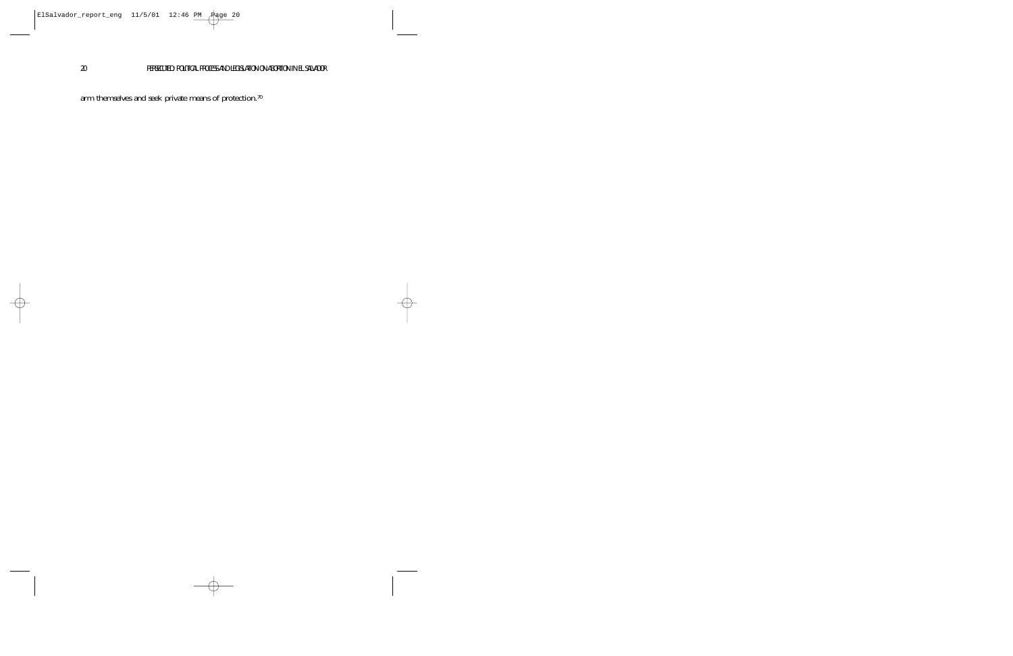arm themselves and seek private means of protection.70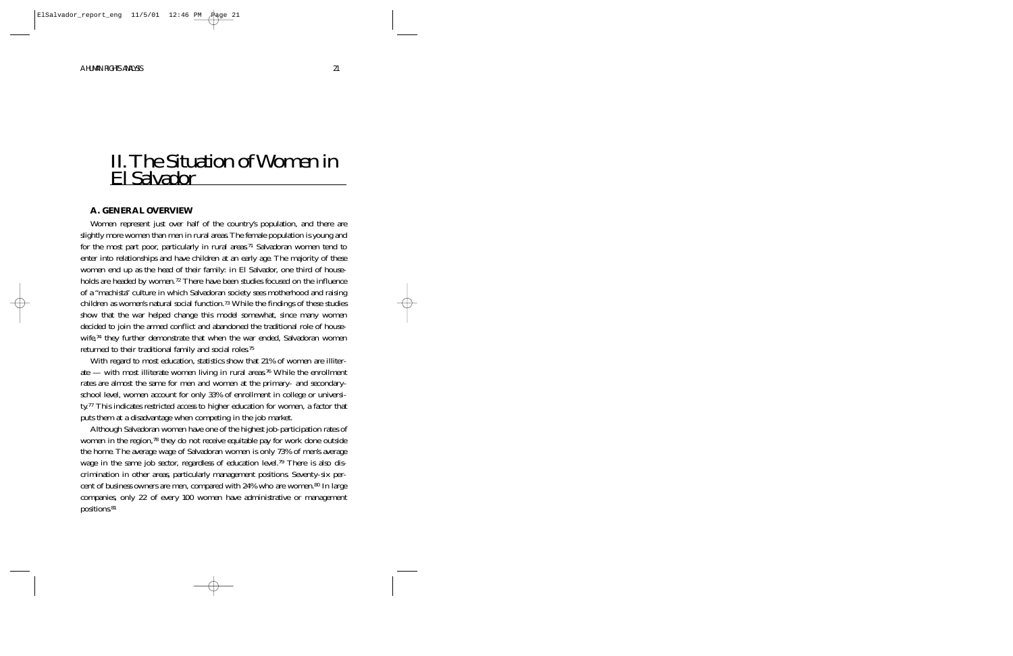### II.The Situation of Women in El Salvador

#### **A. GENERAL OVERVIEW**

Women represent just over half of the country's population, and there are slightly more women than men in rural areas. The female population is young and for the most part poor, particularly in rural areas.<sup>71</sup> Salvadoran women tend to enter into relationships and have children at an early age. The majority of these women end up as the head of their family: in El Salvador, one third of households are headed by women.<sup>72</sup> There have been studies focused on the influence of <sup>a</sup>"machista" culture in which Salvadoran society sees motherhood and raising children as women's natural social function.73 While the findings of these studies show that the war helped change this model somewhat, since many women decided to join the armed conflict and abandoned the traditional role of housewife,<sup>74</sup> they further demonstrate that when the war ended, Salvadoran women returned to their traditional family and social roles.75

With regard to most education, statistics show that 21% of women are illiterate — with most illiterate women living in rural areas.<sup>76</sup> While the enrollment rates are almost the same for men and women at the primary- and secondaryschool level, women account for only 33% of enrollment in college or university.77 This indicates restricted access to higher education for women, a factor that puts them at a disadvantage when competing in the job market.

Although Salvadoran women have one of the highest job-participation rates of women in the region,<sup>78</sup> they do not receive equitable pay for work done outside the home. The average wage of Salvadoran women is only 73% of men's average wage in the same job sector, regardless of education level.<sup>79</sup> There is also discrimination in other areas, particularly management positions. Seventy-six percent of business owners are men, compared with 24% who are women.<sup>80</sup> In large companies, only 22 of every 100 women have administrative or management positions.<sup>81</sup>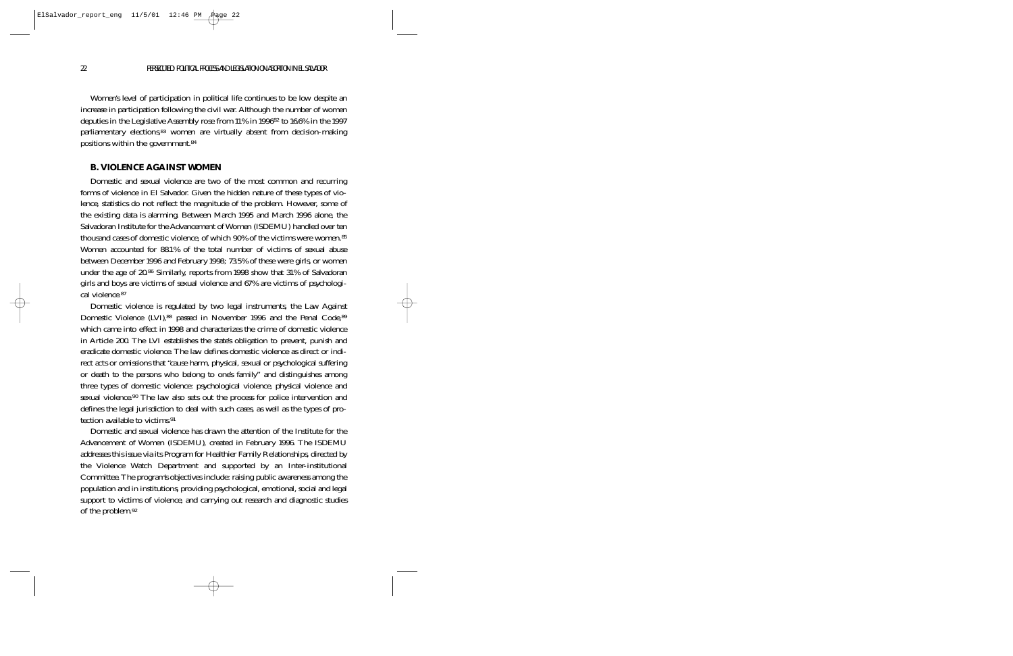Women's level of participation in political life continues to be low despite an increase in participation following the civil war. Although the number of women deputies in the Legislative Assembly rose from 11% in 199682 to 16.6% in the 1997 parliamentary elections,83 women are virtually absent from decision-making positions within the government.84

#### **B. VIOLENCE AGAINST WOMEN**

Domestic and sexual violence are two of the most common and recurring forms of violence in El Salvador. Given the hidden nature of these types of violence, statistics do not reflect the magnitude of the problem. However, some of the existing data is alarming. Between March 1995 and March 1996 alone, the Salvadoran Institute for the Advancement of Women (ISDEMU) handled over ten thousand cases of domestic violence, of which 90% of the victims were women.85 Women accounted for 88.1% of the total number of victims of sexual abuse between December 1996 and February 1998; 73.5% of these were girls, or women under the age of 20.86 Similarly, reports from 1998 show that 31% of Salvadoran girls and boys are victims of sexual violence and 67% are victims of psychological violence.87

Domestic violence is regulated by two legal instruments, the Law Against Domestic Violence (LVI), 88 passed in November 1996 and the Penal Code, 89 which came into effect in 1998 and characterizes the crime of domestic violence in Article 200. The LVI establishes the state's obligation to prevent, punish and eradicate domestic violence. The law defines domestic violence as direct or indirect acts or omissions that "cause harm, physical, sexual or psychological suffering or death to the persons who belong to one's family" and distinguishes among three types of domestic violence: psychological violence, physical violence and sexual violence.90 The law also sets out the process for police intervention and defines the legal jurisdiction to deal with such cases, as well as the types of protection available to victims.<sup>91</sup>

Domestic and sexual violence has drawn the attention of the Institute for the Advancement of Women (ISDEMU), created in February 1996. The ISDEMU addresses this issue via its Program for Healthier Family Relationships, directed by the Violence Watch Department and supported by an Inter-institutional Committee. The program's objectives include: raising public awareness among the population and in institutions, providing psychological, emotional, social and legal support to victims of violence, and carrying out research and diagnostic studies of the problem.92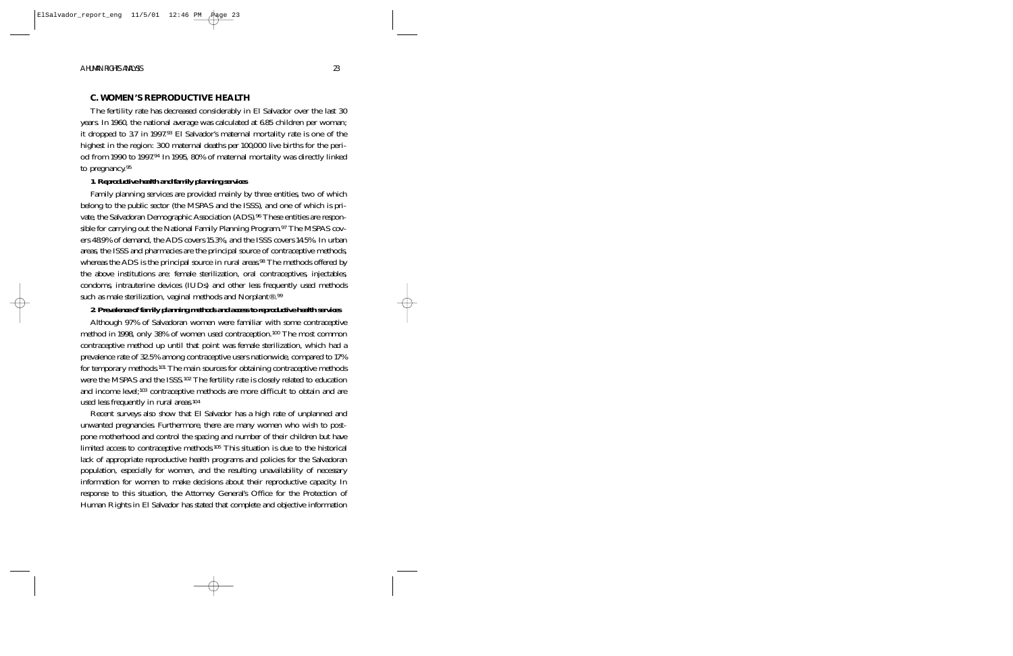#### **C. WOMEN'S REPRODUCTIVE HEALTH**

The fertility rate has decreased considerably in El Salvador over the last 30 years. In 1960, the national average was calculated at 6.85 children per woman; it dropped to 3.7 in 1997.93 El Salvador's maternal mortality rate is one of the highest in the region: 300 maternal deaths per 100,000 live births for the period from 1990 to 1997.94 In 1995, 80% of maternal mortality was directly linked to pregnancy.95

#### *1. Reproductive health and family planning services*

Family planning services are provided mainly by three entities, two of which belong to the public sector (the MSPAS and the ISSS), and one of which is private, the Salvadoran Demographic Association (ADS).96 These entities are responsible for carrying out the National Family Planning Program.97 The MSPAS covers 48.9% of demand, the ADS covers 15.3%, and the ISSS covers 14.5%. In urban areas, the ISSS and pharmacies are the principal source of contraceptive methods, whereas the ADS is the principal source in rural areas.<sup>98</sup> The methods offered by the above institutions are: female sterilization, oral contraceptives, injectables, condoms, intrauterine devices (IUDs) and other less frequently used methods such as male sterilization, vaginal methods and Norplant®.99

#### *2. Prevalence of family planning methods and access to reproductive health services*

Although 97% of Salvadoran women were familiar with some contraceptive method in 1998, only 38% of women used contraception.100 The most common contraceptive method up until that point was female sterilization, which had a prevalence rate of 32.5% among contraceptive users nationwide, compared to 17% for temporary methods.101 The main sources for obtaining contraceptive methods were the MSPAS and the ISSS.<sup>102</sup> The fertility rate is closely related to education and income level;<sup>103</sup> contraceptive methods are more difficult to obtain and are used less frequently in rural areas.104

Recent surveys also show that El Salvador has a high rate of unplanned and unwanted pregnancies. Furthermore, there are many women who wish to postpone motherhood and control the spacing and number of their children but have limited access to contraceptive methods.105 This situation is due to the historical lack of appropriate reproductive health programs and policies for the Salvadoran population, especially for women, and the resulting unavailability of necessary information for women to make decisions about their reproductive capacity. In response to this situation, the Attorney General's Office for the Protection of Human Rights in El Salvador has stated that complete and objective information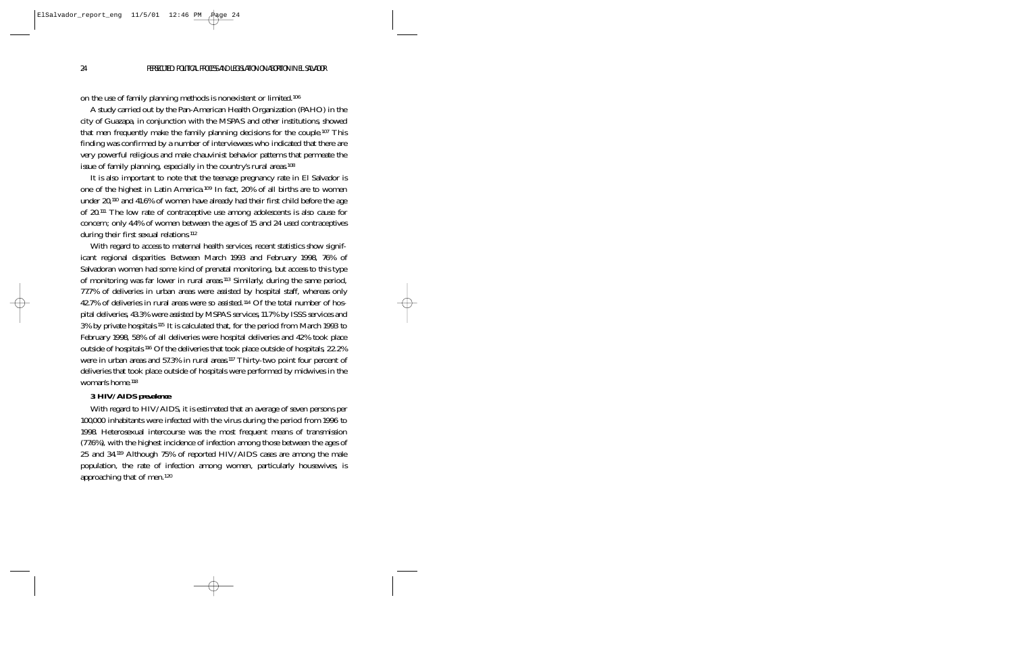on the use of family planning methods is nonexistent or limited.106

A study carried out by the Pan-American Health Organization (PAHO) in the city of Guazapa, in conjunction with the MSPAS and other institutions, showed that men frequently make the family planning decisions for the couple.107 This finding was confirmed by a number of interviewees who indicated that there are very powerful religious and male chauvinist behavior patterns that permeate the issue of family planning, especially in the country's rural areas.108

It is also important to note that the teenage pregnancy rate in El Salvador is one of the highest in Latin America.109 In fact, 20% of all births are to women under 20,110 and 41.6% of women have already had their first child before the age of 20.111 The low rate of contraceptive use among adolescents is also cause for concern; only 4.4% of women between the ages of 15 and 24 used contraceptives during their first sexual relations.<sup>112</sup>

With regard to access to maternal health services, recent statistics show significant regional disparities. Between March 1993 and February 1998, 76% of Salvadoran women had some kind of prenatal monitoring, but access to this type of monitoring was far lower in rural areas.113 Similarly, during the same period, 77.7% of deliveries in urban areas were assisted by hospital staff, whereas only 42.7% of deliveries in rural areas were so assisted.114 Of the total number of hospital deliveries, 43.3% were assisted by MSPAS services, 11.7% by ISSS services and 3% by private hospitals.115 It is calculated that, for the period from March 1993 to February 1998, 58% of all deliveries were hospital deliveries and 42% took place outside of hospitals.116 Of the deliveries that took place outside of hospitals, 22.2% were in urban areas and 57.3% in rural areas.<sup>117</sup> Thirty-two point four percent of deliveries that took place outside of hospitals were performed by midwives in the woman's home.118

#### *3. HIV/AIDS prevalence*

With regard to HIV/AIDS, it is estimated that an average of seven persons per 100,000 inhabitants were infected with the virus during the period from 1996 to 1998. Heterosexual intercourse was the most frequent means of transmission (77.6%), with the highest incidence of infection among those between the ages of 25 and 34.119 Although 75% of reported HIV/AIDS cases are among the male population, the rate of infection among women, particularly housewives, is approaching that of men.120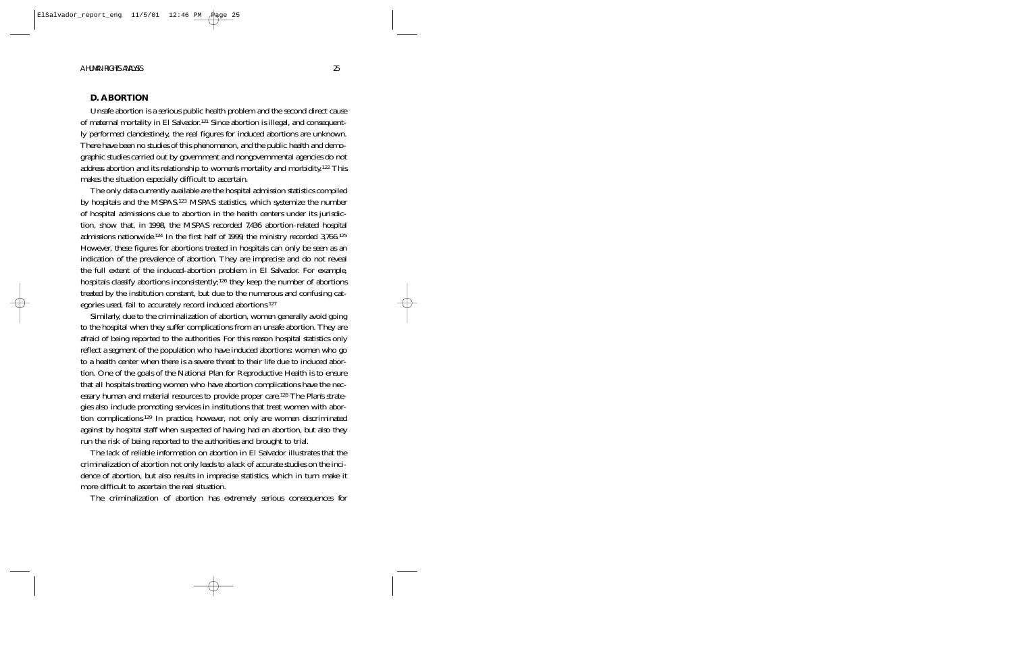#### **D. ABORTION**

Unsafe abortion is a serious public health problem and the second direct cause of maternal mortality in El Salvador.121 Since abortion is illegal, and consequently performed clandestinely, the real figures for induced abortions are unknown. There have been no studies of this phenomenon, and the public health and demographic studies carried out by government and nongovernmental agencies do not address abortion and its relationship to women's mortality and morbidity.122 This makes the situation especially difficult to ascertain.

The only data currently available are the hospital admission statistics compiled by hospitals and the MSPAS.123 MSPAS statistics, which systemize the number of hospital admissions due to abortion in the health centers under its jurisdiction, show that, in 1998, the MSPAS recorded 7,436 abortion-related hospital admissions nationwide.124 In the first half of 1999, the ministry recorded 3,766.125 However, these figures for abortions treated in hospitals can only be seen as an indication of the prevalence of abortion. They are imprecise and do not reveal the full extent of the induced-abortion problem in El Salvador. For example, hospitals classify abortions inconsistently;<sup>126</sup> they keep the number of abortions treated by the institution constant, but due to the numerous and confusing categories used, fail to accurately record induced abortions.127

Similarly, due to the criminalization of abortion, women generally avoid going to the hospital when they suffer complications from an unsafe abortion. They are afraid of being reported to the authorities. For this reason hospital statistics only reflect a segment of the population who have induced abortions: women who go to a health center when there is a severe threat to their life due to induced abortion. One of the goals of the National Plan for Reproductive Health is to ensure that all hospitals treating women who have abortion complications have the necessary human and material resources to provide proper care.<sup>128</sup> The Plan's strategies also include promoting services in institutions that treat women with abortion complications.129 In practice, however, not only are women discriminated against by hospital staff when suspected of having had an abortion, but also they run the risk of being reported to the authorities and brought to trial.

The lack of reliable information on abortion in El Salvador illustrates that the criminalization of abortion not only leads to a lack of accurate studies on the incidence of abortion, but also results in imprecise statistics, which in turn make it more difficult to ascertain the real situation.

The criminalization of abortion has extremely serious consequences for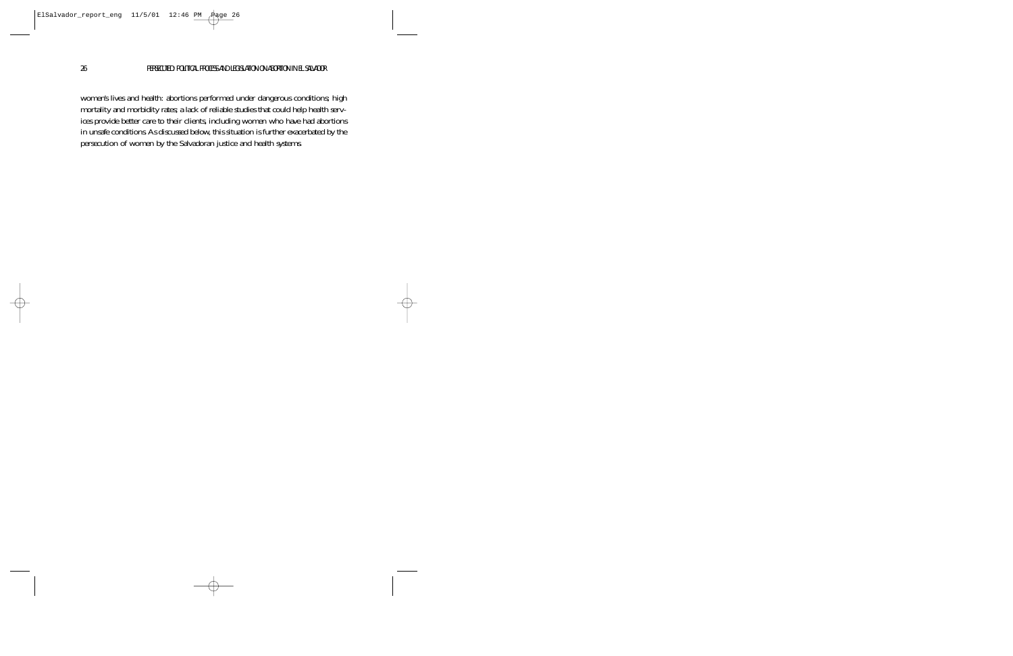women's lives and health: abortions performed under dangerous conditions; high mortality and morbidity rates; a lack of reliable studies that could help health services provide better care to their clients, including women who have had abortions in unsafe conditions. As discussed below, this situation is further exacerbated by the persecution of women by the Salvadoran justice and health systems.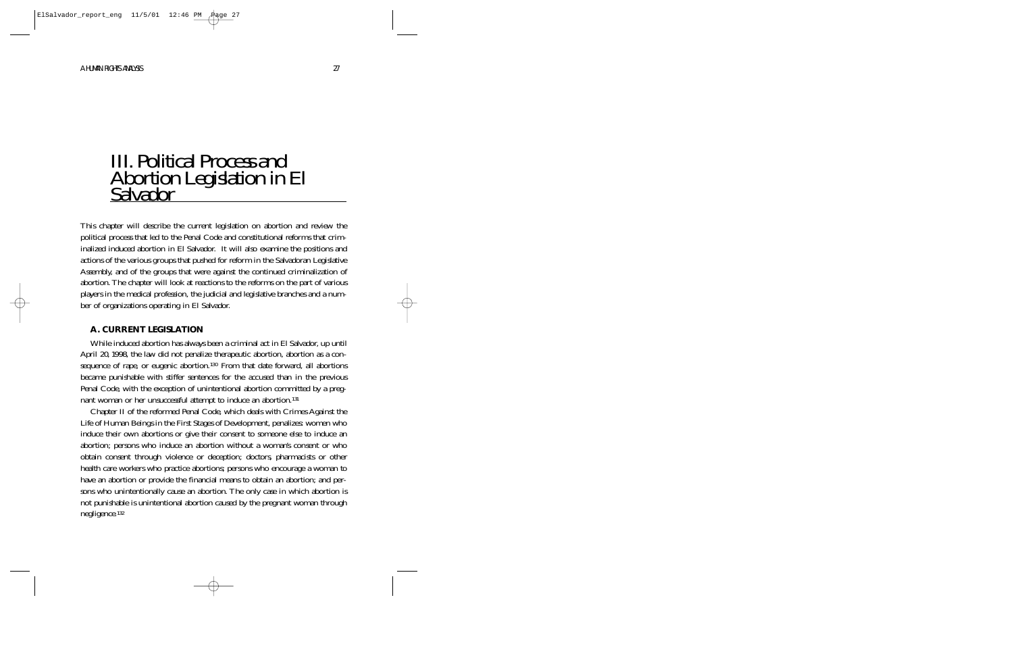# III. Political Process and Abortion Legislation in El Salvador

This chapter will describe the current legislation on abortion and review the political process that led to the Penal Code and constitutional reforms that criminalized induced abortion in El Salvador. It will also examine the positions and actions of the various groups that pushed for reform in the Salvadoran Legislative Assembly, and of the groups that were against the continued criminalization of abortion. The chapter will look at reactions to the reforms on the part of various players in the medical profession, the judicial and legislative branches and a number of organizations operating in El Salvador.

#### **A. CURRENT LEGISLATION**

While induced abortion has always been a criminal act in El Salvador, up until April 20, 1998, the law did not penalize therapeutic abortion, abortion as a consequence of rape, or eugenic abortion.<sup>130</sup> From that date forward, all abortions became punishable with stiffer sentences for the accused than in the previous Penal Code, with the exception of unintentional abortion committed by a pregnant woman or her unsuccessful attempt to induce an abortion.131

Chapter II of the reformed Penal Code, which deals with Crimes Against the Life of Human Beings in the First Stages of Development, penalizes: women who induce their own abortions or give their consent to someone else to induce an abortion; persons who induce an abortion without a woman's consent or who obtain consent through violence or deception; doctors, pharmacists or other health care workers who practice abortions; persons who encourage a woman to have an abortion or provide the financial means to obtain an abortion; and persons who unintentionally cause an abortion. The only case in which abortion is not punishable is unintentional abortion caused by the pregnant woman through negligence.132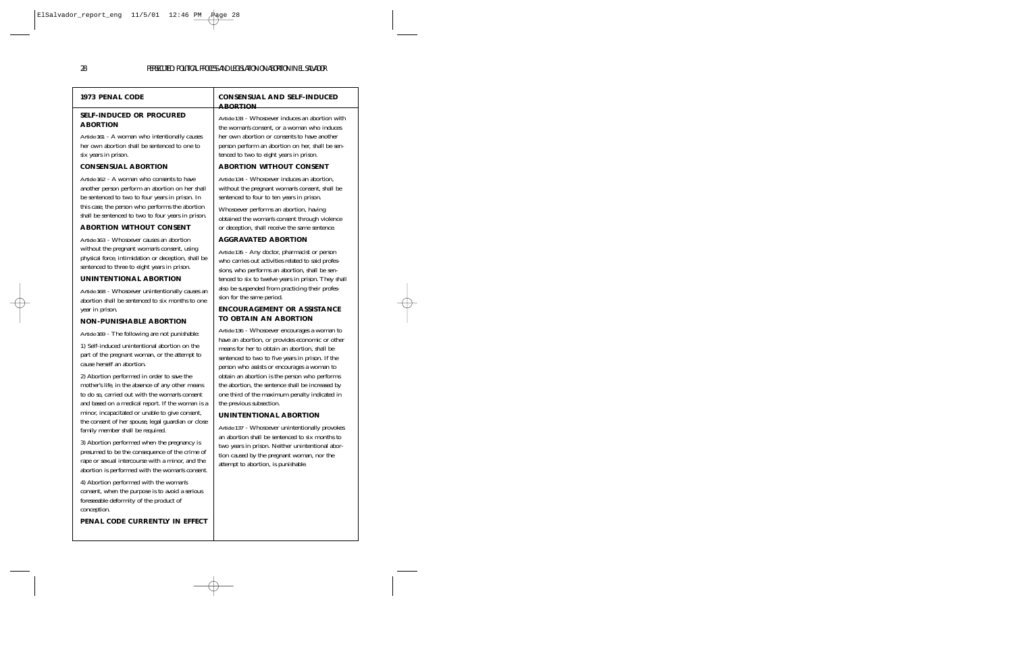#### **1973 PENAL CODE**

#### **SELF-INDUCED OR PROCURED ABORTION**

*Article 161* - A woman who intentionally causes her own abortion shall be sentenced to one to six years in prison.

#### **CONSENSUAL ABORTION**

*Article 162* - A woman who consents to have another person perform an abortion on her shall be sentenced to two to four years in prison. In this case, the person who performs the abortion shall be sentenced to two to four years in prison.

#### **ABORTION WITHOUT CONSENT**

*Article 163* - Whosoever causes an abortion without the pregnant woman's consent, using physical force, intimidation or deception, shall be sentenced to three to eight years in prison.

#### **UNINTENTIONAL ABORTION**

*Article 168* - Whosoever unintentionally causes an abortion shall be sentenced to six months to one year in prison.

#### **NON-PUNISHABLE ABORTION**

*Article 169* - The following are not punishable:

1) Self-induced unintentional abortion on the part of the pregnant woman, or the attempt to cause herself an abortion.

2) Abortion performed in order to save the mother's life, in the absence of any other means to do so, carried out with the woman's consent and based on a medical report. If the woman is a minor, incapacitated or unable to give consent, the consent of her spouse, legal guardian or close family member shall be required.

3) Abortion performed when the pregnancy is presumed to be the consequence of the crime of rape or sexual intercourse with a minor, and the abortion is performed with the woman's consent.

4) Abortion performed with the woman's consent, when the purpose is to avoid a serious foreseeable deformity of the product of conception.

#### **PENAL CODE CURRENTLY IN EFFECT**

#### **CONSENSUAL AND SELF-INDUCED ABORTION**

*Article 133* - Whosoever induces an abortion with the woman's consent, or a woman who induces her own abortion or consents to have another person perform an abortion on her, shall be sentenced to two to eight years in prison.

#### **ABORTION WITHOUT CONSENT**

*Article 134* - Whosoever induces an abortion, without the pregnant woman's consent, shall be sentenced to four to ten years in prison.

Whosoever performs an abortion, having obtained the woman's consent through violence or deception, shall receive the same sentence.

#### **AGGRAVATED ABORTION**

*Article 135* - Any doctor, pharmacist or person who carries out activities related to said professions, who performs an abortion, shall be sentenced to six to twelve years in prison. They shall also be suspended from practicing their profession for the same period.

#### **ENCOURAGEMENT OR ASSISTANCE TO OBTAIN AN ABORTION**

*Article 136* - Whosoever encourages a woman to have an abortion, or provides economic or other means for her to obtain an abortion, shall be sentenced to two to five years in prison. If the person who assists or encourages a woman to obtain an abortion is the person who performs the abortion, the sentence shall be increased by one third of the maximum penalty indicated in the previous subsection.

#### **UNINTENTIONAL ABORTION**

*Article 137* - Whosoever unintentionally provokes an abortion shall be sentenced to six months to two years in prison. Neither unintentional abortion caused by the pregnant woman, nor the attempt to abortion, is punishable.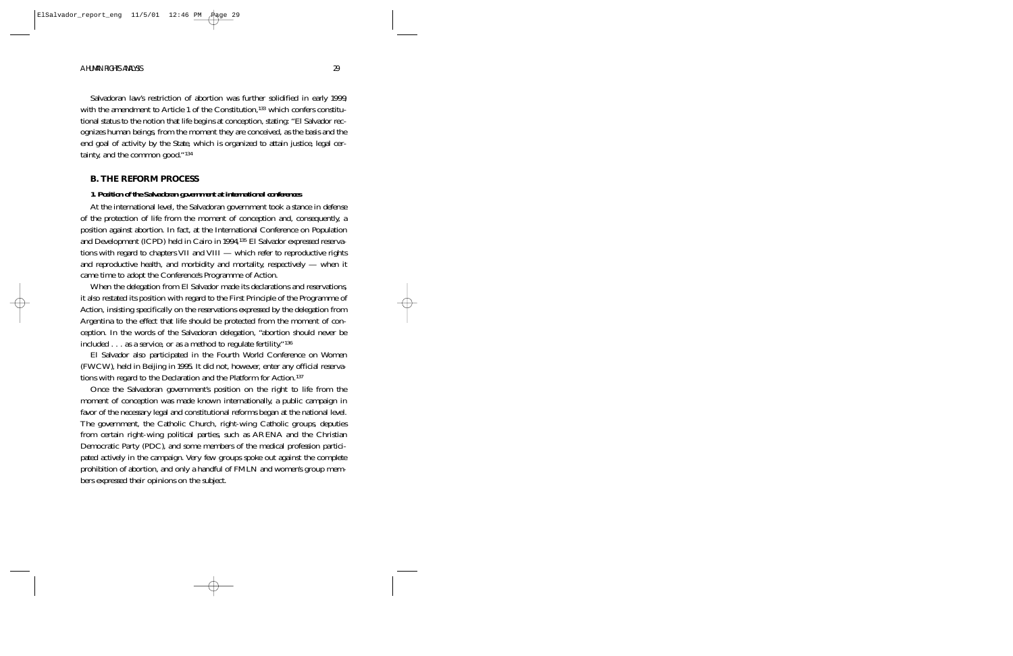Salvadoran law's restriction of abortion was further solidified in early 1999, with the amendment to Article 1 of the Constitution,<sup>133</sup> which confers constitutional status to the notion that life begins at conception, stating: "El Salvador recognizes human beings, from the moment they are conceived, as the basis and the end goal of activity by the State, which is organized to attain justice, legal certainty, and the common good."134

#### **B. THE REFORM PROCESS**

#### *1. Position of the Salvadoran government at international conferences*

At the international level, the Salvadoran government took a stance in defense of the protection of life from the moment of conception and, consequently, <sup>a</sup> position against abortion. In fact, at the International Conference on Population and Development (ICPD) held in Cairo in 1994,135 El Salvador expressed reservations with regard to chapters VII and VIII — which refer to reproductive rights and reproductive health, and morbidity and mortality, respectively — when it came time to adopt the Conference's Programme of Action.

When the delegation from El Salvador made its declarations and reservations, it also restated its position with regard to the First Principle of the Programme of Action, insisting specifically on the reservations expressed by the delegation from Argentina to the effect that life should be protected from the moment of conception. In the words of the Salvadoran delegation, "abortion should never be included . . . as a service, or as a method to regulate fertility."136

El Salvador also participated in the Fourth World Conference on Women (FWCW), held in Beijing in 1995. It did not, however, enter any official reservations with regard to the Declaration and the Platform for Action.137

Once the Salvadoran government's position on the right to life from the moment of conception was made known internationally, a public campaign in favor of the necessary legal and constitutional reforms began at the national level. The government, the Catholic Church, right-wing Catholic groups, deputies from certain right-wing political parties, such as ARENA and the Christian Democratic Party (PDC), and some members of the medical profession participated actively in the campaign. Very few groups spoke out against the complete prohibition of abortion, and only a handful of FMLN and women's group members expressed their opinions on the subject.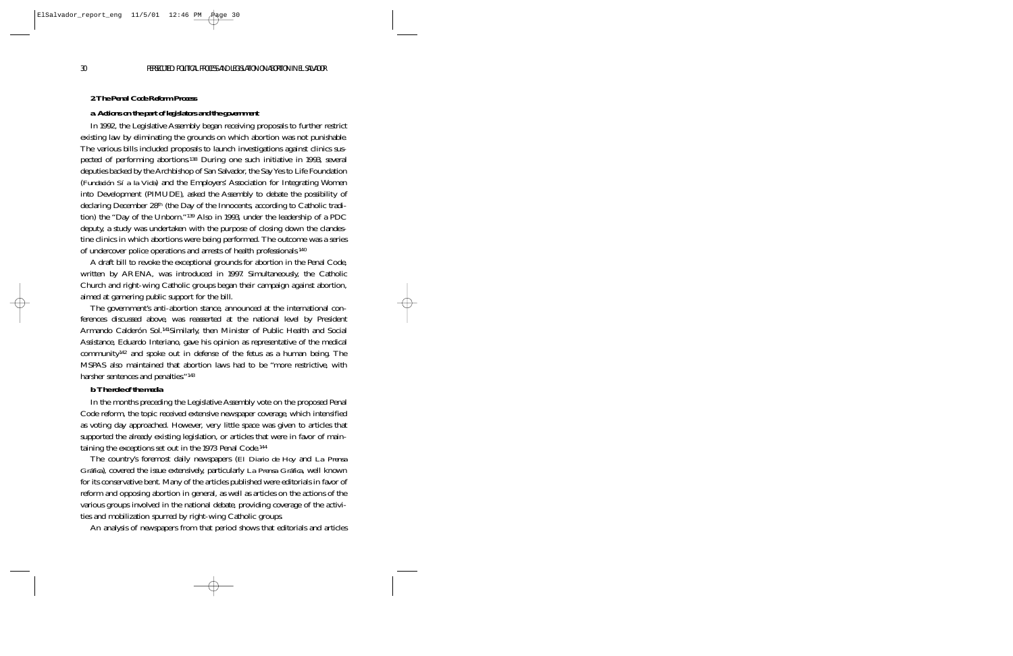#### *2.The Penal Code Reform Process*

#### *a. Actions on the part of legislators and the government*

In 1992, the Legislative Assembly began receiving proposals to further restrict existing law by eliminating the grounds on which abortion was not punishable. The various bills included proposals to launch investigations against clinics suspected of performing abortions.138 During one such initiative in 1993, several deputies backed by the Archbishop of San Salvador, the Say Yes to Life Foundation (*Fundación Sí a la Vida*) and the Employers' Association for Integrating Women into Development (PIMUDE), asked the Assembly to debate the possibility of declaring December 28th (the Day of the Innocents, according to Catholic tradition) the "Day of the Unborn."139 Also in 1993, under the leadership of a PDC deputy, a study was undertaken with the purpose of closing down the clandestine clinics in which abortions were being performed. The outcome was a series of undercover police operations and arrests of health professionals.140

A draft bill to revoke the exceptional grounds for abortion in the Penal Code, written by ARENA, was introduced in 1997. Simultaneously, the Catholic Church and right-wing Catholic groups began their campaign against abortion, aimed at garnering public support for the bill.

The government's anti-abortion stance, announced at the international conferences discussed above, was reasserted at the national level by President Armando Calderón Sol.141 Similarly, then Minister of Public Health and Social Assistance, Eduardo Interiano, gave his opinion as representative of the medical community142 and spoke out in defense of the fetus as a human being. The MSPAS also maintained that abortion laws had to be "more restrictive, with harsher sentences and penalties."143

#### *b.The role of the media*

In the months preceding the Legislative Assembly vote on the proposed Penal Code reform, the topic received extensive newspaper coverage, which intensified as voting day approached. However, very little space was given to articles that supported the already existing legislation, or articles that were in favor of maintaining the exceptions set out in the 1973 Penal Code.144

The country's foremost daily newspapers (*El Diario de Hoy* and *La Prensa Gráfica*), covered the issue extensively, particularly *La Prensa Gráfica*, well known for its conservative bent. Many of the articles published were editorials in favor of reform and opposing abortion in general, as well as articles on the actions of the various groups involved in the national debate, providing coverage of the activities and mobilization spurred by right-wing Catholic groups.

An analysis of newspapers from that period shows that editorials and articles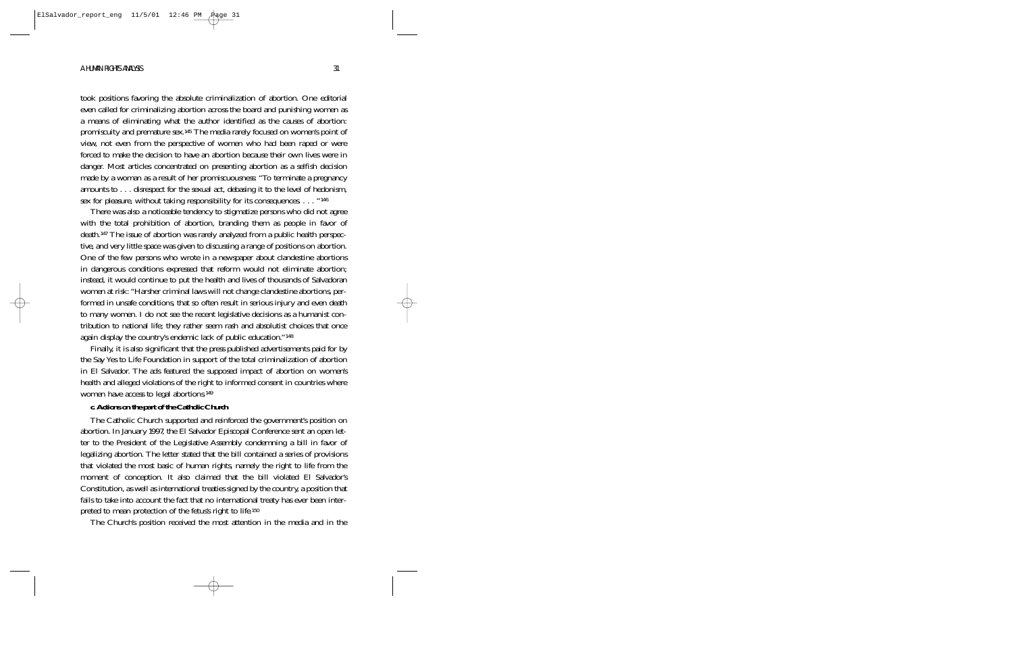took positions favoring the absolute criminalization of abortion. One editorial even called for criminalizing abortion across the board and punishing women as a means of eliminating what the author identified as the causes of abortion: promiscuity and premature sex.145 The media rarely focused on women's point of view, not even from the perspective of women who had been raped or were forced to make the decision to have an abortion because their own lives were in danger. Most articles concentrated on presenting abortion as a selfish decision made by a woman as a result of her promiscuousness: "To terminate a pregnancy amounts to . . . disrespect for the sexual act, debasing it to the level of hedonism, sex for pleasure, without taking responsibility for its consequences...."<sup>146</sup>

There was also a noticeable tendency to stigmatize persons who did not agree with the total prohibition of abortion, branding them as people in favor of death.147 The issue of abortion was rarely analyzed from a public health perspective, and very little space was given to discussing a range of positions on abortion. One of the few persons who wrote in a newspaper about clandestine abortions in dangerous conditions expressed that reform would not eliminate abortion; instead, it would continue to put the health and lives of thousands of Salvadoran women at risk: "Harsher criminal laws will not change clandestine abortions, performed in unsafe conditions, that so often result in serious injury and even death to many women. I do not see the recent legislative decisions as a humanist contribution to national life; they rather seem rash and absolutist choices that once again display the country's endemic lack of public education."148

Finally, it is also significant that the press published advertisements paid for by the Say Yes to Life Foundation in support of the total criminalization of abortion in El Salvador. The ads featured the supposed impact of abortion on women's health and alleged violations of the right to informed consent in countries where women have access to legal abortions.149

#### *c.Actions on the part of the Catholic Church*

The Catholic Church supported and reinforced the government's position on abortion. In January 1997, the El Salvador Episcopal Conference sent an open letter to the President of the Legislative Assembly condemning a bill in favor of legalizing abortion. The letter stated that the bill contained a series of provisions that violated the most basic of human rights, namely the right to life from the moment of conception. It also claimed that the bill violated El Salvador's Constitution, as well as international treaties signed by the country, a position that fails to take into account the fact that no international treaty has ever been interpreted to mean protection of the fetus's right to life.150

The Church's position received the most attention in the media and in the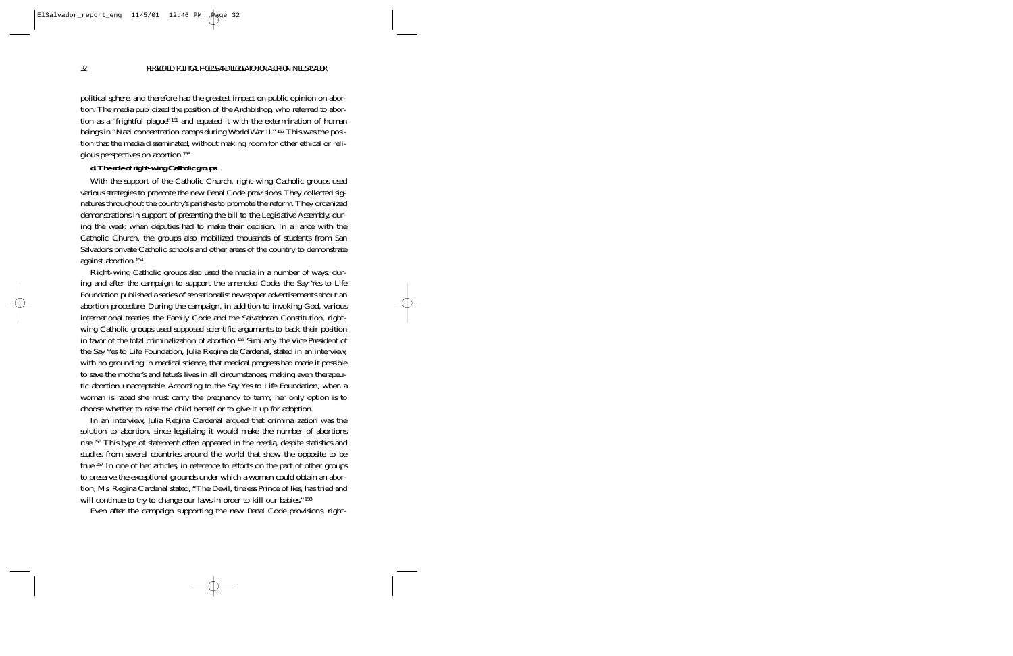political sphere, and therefore had the greatest impact on public opinion on abortion. The media publicized the position of the Archbishop, who referred to abortion as a "frightful plague"151 and equated it with the extermination of human beings in "Nazi concentration camps during World War II."152 This was the position that the media disseminated, without making room for other ethical or religious perspectives on abortion.153

#### *d.The role of right-wing Catholic groups*

With the support of the Catholic Church, right-wing Catholic groups used various strategies to promote the new Penal Code provisions. They collected signatures throughout the country's parishes to promote the reform. They organized demonstrations in support of presenting the bill to the Legislative Assembly, during the week when deputies had to make their decision. In alliance with the Catholic Church, the groups also mobilized thousands of students from San Salvador's private Catholic schools and other areas of the country to demonstrate against abortion.154

Right-wing Catholic groups also used the media in a number of ways; during and after the campaign to support the amended Code, the Say Yes to Life Foundation published a series of sensationalist newspaper advertisements about an abortion procedure. During the campaign, in addition to invoking God, various international treaties, the Family Code and the Salvadoran Constitution, rightwing Catholic groups used supposed scientific arguments to back their position in favor of the total criminalization of abortion.155 Similarly, the Vice President of the Say Yes to Life Foundation, Julia Regina de Cardenal, stated in an interview, with no grounding in medical science, that medical progress had made it possible to save the mother's and fetus's lives in all circumstances, making even therapeutic abortion unacceptable. According to the Say Yes to Life Foundation, when a woman is raped she must carry the pregnancy to term; her only option is to choose whether to raise the child herself or to give it up for adoption.

In an interview, Julia Regina Cardenal argued that criminalization was the solution to abortion, since legalizing it would make the number of abortions rise.156 This type of statement often appeared in the media, despite statistics and studies from several countries around the world that show the opposite to be true.<sup>157</sup> In one of her articles, in reference to efforts on the part of other groups to preserve the exceptional grounds under which a women could obtain an abortion, Ms. Regina Cardenal stated, "The Devil, tireless Prince of lies, has tried and will continue to try to change our laws in order to kill our babies."158

Even after the campaign supporting the new Penal Code provisions, right-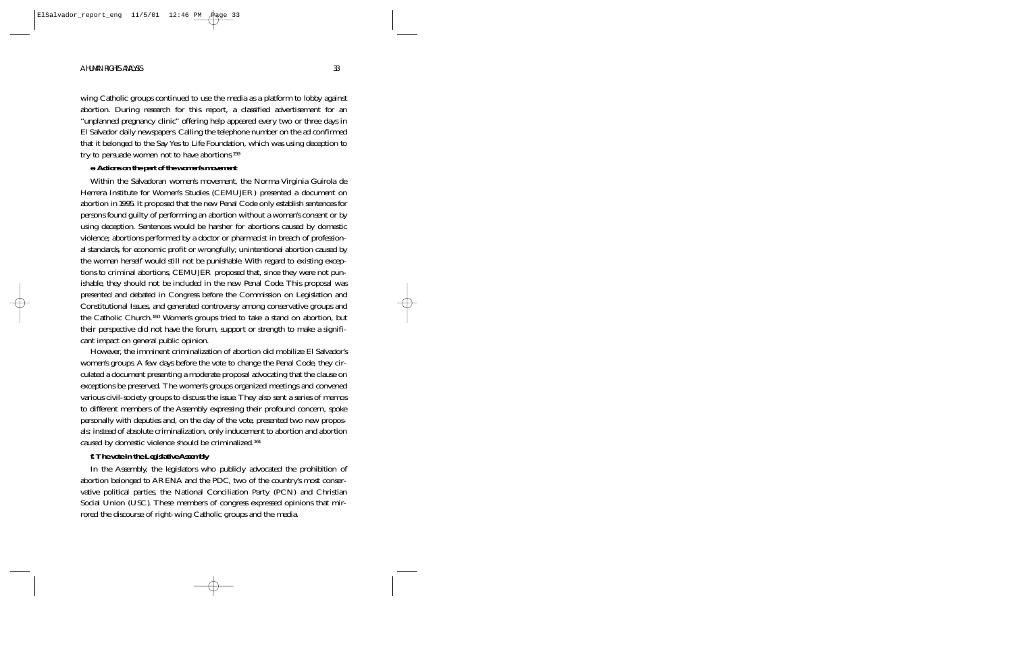wing Catholic groups continued to use the media as a platform to lobby against abortion. During research for this report, a classified advertisement for an "unplanned pregnancy clinic" offering help appeared every two or three days in El Salvador daily newspapers. Calling the telephone number on the ad confirmed that it belonged to the Say Yes to Life Foundation, which was using deception to try to persuade women not to have abortions.159

#### *e. Actions on the part of the women's movement*

Within the Salvadoran women's movement, the Norma Virginia Guirola de Herrera Institute for Women's Studies (CEMUJER) presented a document on abortion in 1995. It proposed that the new Penal Code only establish sentences for persons found guilty of performing an abortion without a woman's consent or by using deception. Sentences would be harsher for abortions caused by domestic violence; abortions performed by a doctor or pharmacist in breach of professional standards, for economic profit or wrongfully; unintentional abortion caused by the woman herself would still not be punishable. With regard to existing exceptions to criminal abortions, CEMUJER proposed that, since they were not punishable, they should not be included in the new Penal Code. This proposal was presented and debated in Congress before the Commission on Legislation and Constitutional Issues, and generated controversy among conservative groups and the Catholic Church.160 Women's groups tried to take a stand on abortion, but their perspective did not have the forum, support or strength to make a significant impact on general public opinion.

However, the imminent criminalization of abortion did mobilize El Salvador's women's groups. A few days before the vote to change the Penal Code, they circulated a document presenting a moderate proposal advocating that the clause on exceptions be preserved. The women's groups organized meetings and convened various civil-society groups to discuss the issue. They also sent a series of memos to different members of the Assembly expressing their profound concern, spoke personally with deputies and, on the day of the vote, presented two new proposals: instead of absolute criminalization, only inducement to abortion and abortion caused by domestic violence should be criminalized.161

#### *f.The vote in the Legislative Assembly*

In the Assembly, the legislators who publicly advocated the prohibition of abortion belonged to ARENA and the PDC, two of the country's most conservative political parties, the National Conciliation Party (PCN) and Christian Social Union (USC). These members of congress expressed opinions that mirrored the discourse of right-wing Catholic groups and the media.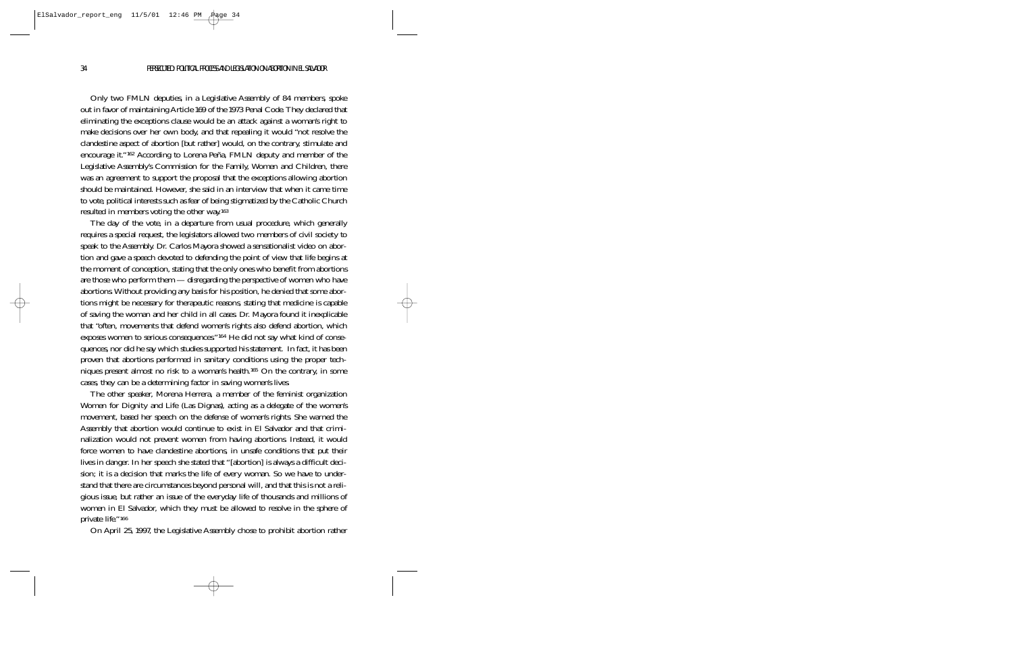Only two FMLN deputies, in a Legislative Assembly of 84 members, spoke out in favor of maintaining Article 169 of the 1973 Penal Code. They declared that eliminating the exceptions clause would be an attack against a woman's right to make decisions over her own body, and that repealing it would "not resolve the clandestine aspect of abortion [but rather] would, on the contrary, stimulate and encourage it."162 According to Lorena Peña, FMLN deputy and member of the Legislative Assembly's Commission for the Family, Women and Children, there was an agreement to support the proposal that the exceptions allowing abortion should be maintained. However, she said in an interview that when it came time to vote, political interests such as fear of being stigmatized by the Catholic Church resulted in members voting the other way.163

The day of the vote, in a departure from usual procedure, which generally requires a special request, the legislators allowed two members of civil society to speak to the Assembly. Dr. Carlos Mayora showed a sensationalist video on abortion and gave a speech devoted to defending the point of view that life begins at the moment of conception, stating that the only ones who benefit from abortions are those who perform them — disregarding the perspective of women who have abortions. Without providing any basis for his position, he denied that some abortions might be necessary for therapeutic reasons, stating that medicine is capable of saving the woman and her child in all cases. Dr. Mayora found it inexplicable that "often, movements that defend women's rights also defend abortion, which exposes women to serious consequences."164 He did not say what kind of consequences, nor did he say which studies supported his statement. In fact, it has been proven that abortions performed in sanitary conditions using the proper techniques present almost no risk to a woman's health.165 On the contrary, in some cases, they can be a determining factor in saving women's lives.

The other speaker, Morena Herrera, a member of the feminist organization Women for Dignity and Life (Las Dignas), acting as a delegate of the women's movement, based her speech on the defense of women's rights. She warned the Assembly that abortion would continue to exist in El Salvador and that criminalization would not prevent women from having abortions. Instead, it would force women to have clandestine abortions, in unsafe conditions that put their lives in danger. In her speech she stated that "[abortion] is always a difficult decision; it is a decision that marks the life of every woman. So we have to understand that there are circumstances beyond personal will, and that this is not a religious issue, but rather an issue of the everyday life of thousands and millions of women in El Salvador, which they must be allowed to resolve in the sphere of private life."166

On April 25, 1997, the Legislative Assembly chose to prohibit abortion rather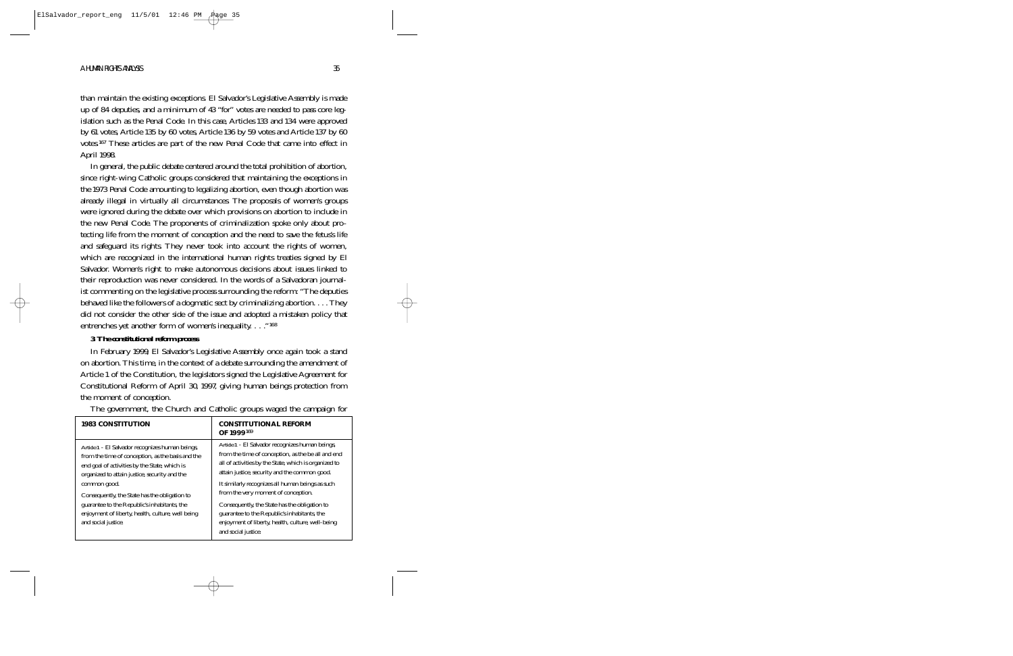than maintain the existing exceptions. El Salvador's Legislative Assembly is made up of 84 deputies, and a minimum of 43 "for" votes are needed to pass core legislation such as the Penal Code. In this case, Articles 133 and 134 were approved by 61 votes, Article 135 by 60 votes, Article 136 by 59 votes and Article 137 by 60 votes.<sup>167</sup> These articles are part of the new Penal Code that came into effect in April 1998.

In general, the public debate centered around the total prohibition of abortion, since right-wing Catholic groups considered that maintaining the exceptions in the 1973 Penal Code amounting to legalizing abortion, even though abortion was already illegal in virtually all circumstances. The proposals of women's groups were ignored during the debate over which provisions on abortion to include in the new Penal Code. The proponents of criminalization spoke only about protecting life from the moment of conception and the need to save the fetus's life and safeguard its rights. They never took into account the rights of women, which are recognized in the international human rights treaties signed by El Salvador. Women's right to make autonomous decisions about issues linked to their reproduction was never considered. In the words of a Salvadoran journalist commenting on the legislative process surrounding the reform: "The deputies behaved like the followers of a dogmatic sect by criminalizing abortion. . . . They did not consider the other side of the issue and adopted a mistaken policy that entrenches yet another form of women's inequality. . . ."168

#### *3.The constitutional reform process*

In February 1999, El Salvador's Legislative Assembly once again took a stand on abortion. This time, in the context of a debate surrounding the amendment of Article 1 of the Constitution, the legislators signed the Legislative Agreement for Constitutional Reform of April 30, 1997, giving human beings protection from the moment of conception.

| OF 1999169                                                                                                                                                                                                                                                                                                                                                                                           |                                                                                                                                                                                                                                                                                                                                                                                                                                                                                          |
|------------------------------------------------------------------------------------------------------------------------------------------------------------------------------------------------------------------------------------------------------------------------------------------------------------------------------------------------------------------------------------------------------|------------------------------------------------------------------------------------------------------------------------------------------------------------------------------------------------------------------------------------------------------------------------------------------------------------------------------------------------------------------------------------------------------------------------------------------------------------------------------------------|
| Article 1 - El Salvador recognizes human beings,<br>from the time of conception, as the basis and the<br>end goal of activities by the State, which is<br>organized to attain justice, security and the<br>common good.<br>Consequently, the State has the obligation to<br>guarantee to the Republic's inhabitants, the<br>enjoyment of liberty, health, culture, well being<br>and social justice. | Article 1 - El Salvador recognizes human beings,<br>from the time of conception, as the be all and end<br>all of activities by the State, which is organized to<br>attain justice, security and the common good.<br>It similarly recognizes all human beings as such<br>from the very moment of conception.<br>Consequently, the State has the obligation to<br>guarantee to the Republic's inhabitants, the<br>enjoyment of liberty, health, culture, well-being<br>and social justice. |

The government, the Church and Catholic groups waged the campaign for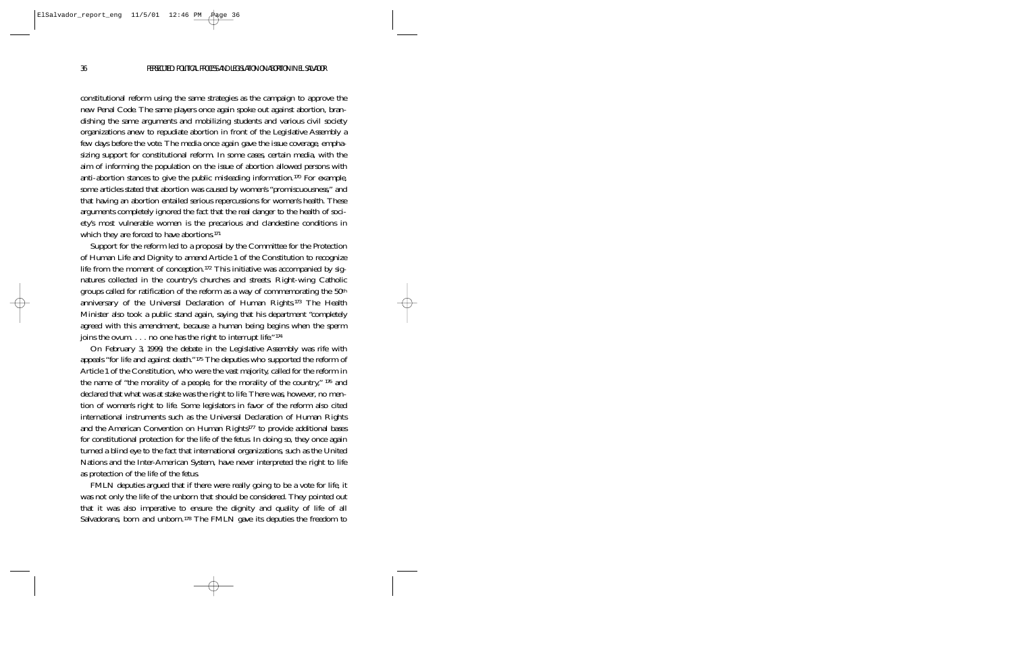constitutional reform using the same strategies as the campaign to approve the new Penal Code. The same players once again spoke out against abortion, brandi shing the same arguments and mobilizing students and various civil society organizations anew to repudiate abortion in front of the Legislative Assembly a few days before the vote. The media once again gave the issue coverage, emphasizing support for constitutional reform. In some cases, certain media, with the aim of informing the population on the issue of abortion allowed persons with anti-abortion stances to give the public misleading information.170 For example, some articles stated that abortion was caused by women's "promiscuousness," and that having an abortion entailed serious repercussions for women's health. These arguments completely ignored the fact that the real danger to the health of society's most vulnerable women is the precarious and clandestine conditions in which they are forced to have abortions.<sup>171</sup>

Support for the reform led to a proposal by the Committee for the Protection of Human Life and Dignity to amend Article 1 of the Constitution to recognize life from the moment of conception.<sup>172</sup> This initiative was accompanied by signatures collected in the country's churches and streets. Right-wing Catholic groups called for ratification of the reform as a way of commemorating the 50<sup>th</sup> anniversary of the Universal Declaration of Human Rights.173 The Health Minister also took a public stand again, saying that his department "completely agreed with this amendment, because a human being begins when the sperm joins the ovum. . . . no one has the right to interrupt life."174

On February 3, 1999, the debate in the Legislative Assembly was rife with appeals "for life and against death."<sup>175</sup> The deputies who supported the reform of Article 1 of the Constitution, who were the vast majority, called for the reform in the name of "the morality of a people, for the morality of the country," <sup>176</sup> and declared that what was at stake was the right to life. There was, however, no mention of women's right to life. Some legislators in favor of the reform also cited international instruments such as the Universal Declaration of Human Rights and the American Convention on Human Rights<sup>177</sup> to provide additional bases for constitutional protection for the life of the fetus. In doing so, they once again turned a blind eye to the fact that international organizations, such as the United Nations and the Inter-American System, have never interpreted the right to life as protection of the life of the fetus.

FMLN deputies argued that if there were really going to be a vote for life, it was not only the life of the unborn that should be considered. They pointed out that it was also imperative to ensure the dignity and quality of life of all Salvadorans, born and unborn.<sup>178</sup> The FMLN gave its deputies the freedom to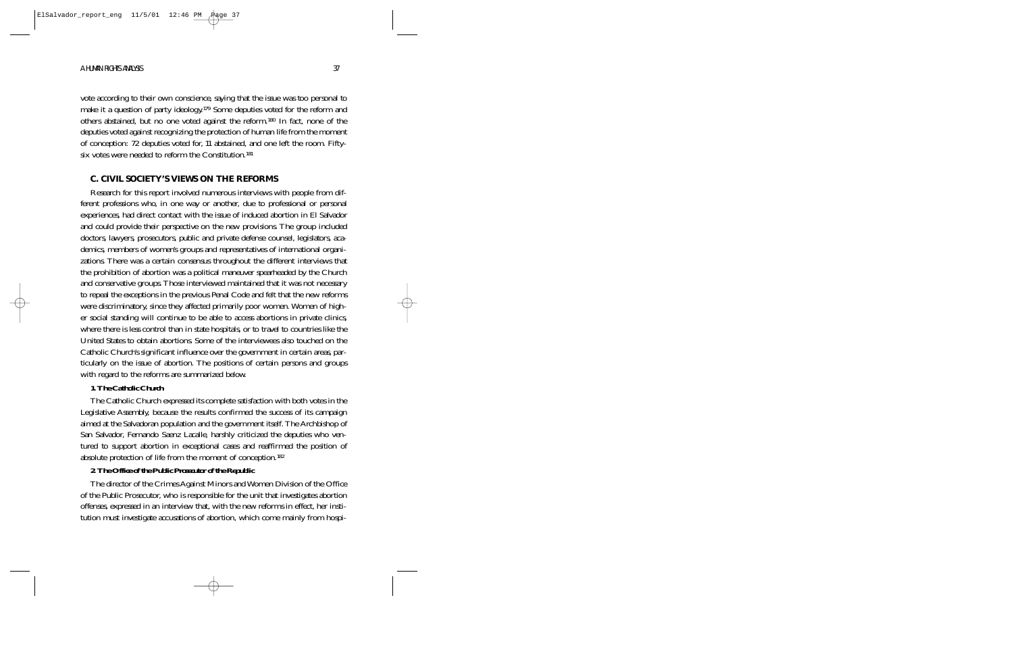vote according to their own conscience, saying that the issue was too personal to make it a question of party ideology.179 Some deputies voted for the reform and others abstained, but no one voted against the reform.180 In fact, none of the deputies voted against recognizing the protection of human life from the moment of conception: 72 deputies voted for, 11 abstained, and one left the room. Fiftysix votes were needed to reform the Constitution.<sup>181</sup>

#### **C. CIVIL SOCIETY'S VIEWS ON THE REFORMS**

Research for this report involved numerous interviews with people from different professions who, in one way or another, due to professional or personal experiences, had direct contact with the issue of induced abortion in El Salvador and could provide their perspective on the new provisions. The group included doctors, lawyers, prosecutors, public and private defense counsel, legislators, academics, members of women's groups and representatives of international organizations. There was a certain consensus throughout the different interviews that the prohibition of abortion was a political maneuver spearheaded by the Church and conservative groups. Those interviewed maintained that it was not necessary to repeal the exceptions in the previous Penal Code and felt that the new reforms were discriminatory, since they affected primarily poor women. Women of higher social standing will continue to be able to access abortions in private clinics, where there is less control than in state hospitals, or to travel to countries like the United States to obtain abortions. Some of the interviewees also touched on the Catholic Church's significant influence over the government in certain areas, particularly on the issue of abortion. The positions of certain persons and groups with regard to the reforms are summarized below.

#### *1.The Catholic Church*

The Catholic Church expressed its complete satisfaction with both votes in the Legislative Assembly, because the results confirmed the success of its campaign aimed at the Salvadoran population and the government itself. The Archbishop of San Salvador, Fernando Saenz Lacalle, harshly criticized the deputies who ventured to support abortion in exceptional cases and reaffirmed the position of absolute protection of life from the moment of conception.182

#### *2.The Office of the Public Prosecutor of the Republic*

The director of the Crimes Against Minors and Women Division of the Office of the Public Prosecutor, who is responsible for the unit that investigates abortion offenses, expressed in an interview that, with the new reforms in effect, her institution must investigate accusations of abortion, which come mainly from hospi-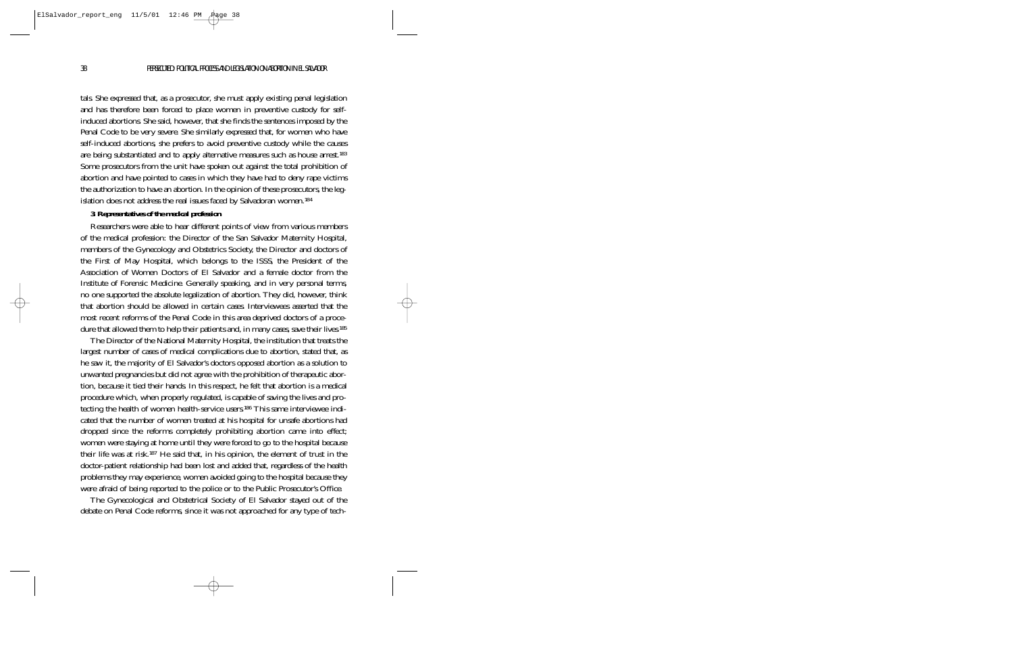tals. She expressed that, as a prosecutor, she must apply existing penal legislation and has therefore been forced to place women in preventive custody for selfinduced abortions. She said, however, that she finds the sentences imposed by the Penal Code to be very severe. She similarly expressed that, for women who have self-induced abortions, she prefers to avoid preventive custody while the causes are being substantiated and to apply alternative measures such as house arrest.<sup>183</sup> Some prosecutors from the unit have spoken out against the total prohibition of abortion and have pointed to cases in which they have had to deny rape victims the authorization to have an abortion. In the opinion of these prosecutors, the legislation does not address the real issues faced by Salvadoran women.<sup>184</sup>

#### *3. Representatives of the medical profession*

Researchers were able to hear different points of view from various members of the medical profession: the Director of the San Salvador Maternity Hospital, members of the Gynecology and Obstetrics Society, the Director and doctors of the First of May Hospital, which belongs to the ISSS, the President of the Association of Women Doctors of El Salvador and a female doctor from the Institute of Forensic Medicine. Generally speaking, and in very personal terms, no one supported the absolute legalization of abortion. They did, however, think that abortion should be allowed in certain cases. Interviewees asserted that the most recent reforms of the Penal Code in this area deprived doctors of a procedure that allowed them to help their patients and, in many cases, save their lives.<sup>185</sup>

The Director of the National Maternity Hospital, the institution that treats the largest number of cases of medical complications due to abortion, stated that, as he saw it, the majority of El Salvador's doctors opposed abortion as a solution to unwanted pregnancies but did not agree with the prohibition of therapeutic abortion, because it tied their hands. In this respect, he felt that abortion is a medical procedure which, when properly regulated, is capable of saving the lives and protecting the health of women health-service users.186 This same interviewee indicated that the number of women treated at his hospital for unsafe abortions had dropped since the reforms completely prohibiting abortion came into effect; women were staying at home until they were forced to go to the hospital because their life was at risk.187 He said that, in his opinion, the element of trust in the doctor-patient relationship had been lost and added that, regardless of the health problems they may experience, women avoided going to the hospital because they were afraid of being reported to the police or to the Public Prosecutor's Office.

The Gynecological and Obstetrical Society of El Salvador stayed out of the debate on Penal Code reforms, since it was not approached for any type of tech-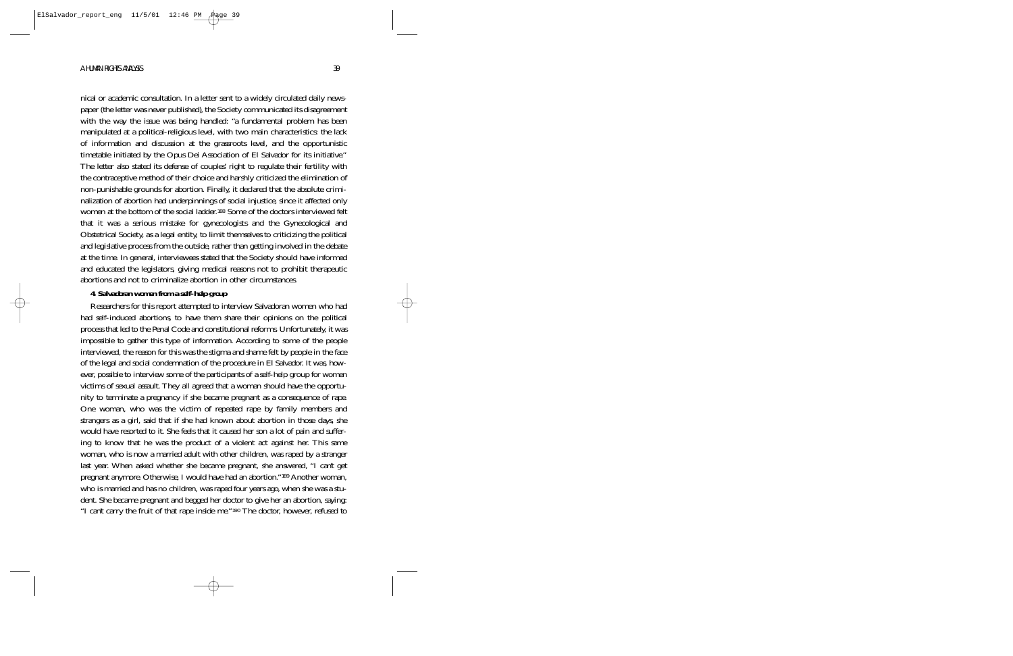nical or academic consultation. In a letter sent to a widely circulated daily newspaper (the letter was never published), the Society communicated its disagreement with the way the issue was being handled: "a fundamental problem has been manipulated at a political-religious level, with two main characteristics: the lack of information and discussion at the grassroots level, and the opportunistic timetable initiated by the Opus Dei Association of El Salvador for its initiative." The letter also stated its defense of couples' right to regulate their fertility with the contraceptive method of their choice and harshly criticized the elimination of non-punishable grounds for abortion. Finally, it declared that the absolute criminalization of abortion had underpinnings of social injustice, since it affected only women at the bottom of the social ladder.188 Some of the doctors interviewed felt that it was a serious mistake for gynecologists and the Gynecological and Obstetrical Society, as a legal entity, to limit themselves to criticizing the political and legislative process from the outside, rather than getting involved in the debate at the time. In general, interviewees stated that the Society should have informed and educated the legislators, giving medical reasons not to prohibit therapeutic abortions and not to criminalize abortion in other circumstances.

#### *4. Salvadoran women from a self-help group*

Researchers for this report attempted to interview Salvadoran women who had had self-induced abortions, to have them share their opinions on the political process that led to the Penal Code and constitutional reforms. Unfortunately, it was impossible to gather this type of information. According to some of the people interviewed, the reason for this was the stigma and shame felt by people in the face of the legal and social condemnation of the procedure in El Salvador. It was, however, possible to interview some of the participants of a self-help group for women victims of sexual assault. They all agreed that a woman should have the opportunity to terminate a pregnancy if she became pregnant as a consequence of rape. One woman, who was the victim of repeated rape by family members and strangers as a girl, said that if she had known about abortion in those days, she would have resorted to it. She feels that it caused her son a lot of pain and suffering to know that he was the product of a violent act against her. This same woman, who is now a married adult with other children, was raped by a stranger last year. When asked whether she became pregnant, she answered, "I can't get pregnant anymore. Otherwise, I would have had an abortion."189 Another woman, who is married and has no children, was raped four years ago, when she was a student. She became pregnant and begged her doctor to give her an abortion, saying: "I can't carry the fruit of that rape inside me."190 The doctor, however, refused to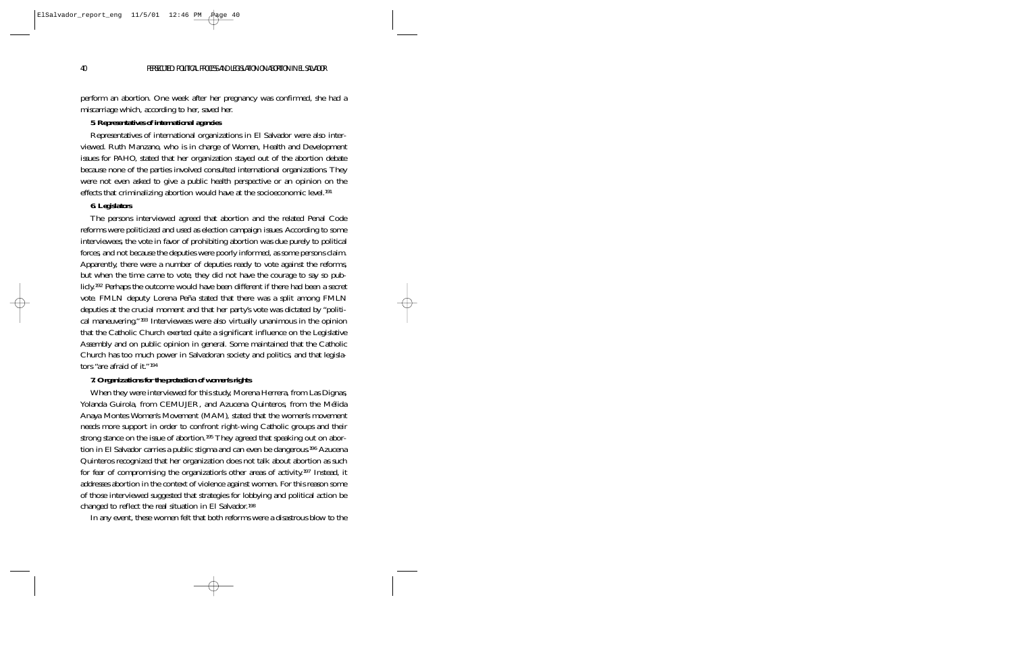perform an abortion. One week after her pregnancy was confirmed, she had a miscarriage which, according to her, saved her.

#### *5. Representatives of international agencies*

Representatives of international organizations in El Salvador were also interviewed. Ruth Manzano, who is in charge of Women, Health and Development issues for PAHO, stated that her organization stayed out of the abortion debate because none of the parties involved consulted international organizations. They were not even asked to give a public health perspective or an opinion on the effects that criminalizing abortion would have at the socioeconomic level.191

#### *6. Legislators*

The persons interviewed agreed that abortion and the related Penal Code reforms were politicized and used as election campaign issues. According to some interviewees, the vote in favor of prohibiting abortion was due purely to political forces, and not because the deputies were poorly informed, as some persons claim. Apparently, there were a number of deputies ready to vote against the reforms, but when the time came to vote, they did not have the courage to say so publicly.192 Perhaps the outcome would have been different if there had been a secret vote. FMLN deputy Lorena Peña stated that there was a split among FMLN deputies at the crucial moment and that her party's vote was dictated by "political maneuvering."193 Interviewees were also virtually unanimous in the opinion that the Catholic Church exerted quite a significant influence on the Legislative Assembly and on public opinion in general. Some maintained that the Catholic Church has too much power in Salvadoran society and politics, and that legislators "are afraid of it."194

#### *7. Organizations for the protection of women's rights*

When they were interviewed for this study, Morena Herrera, from Las Dignas, Yolanda Guirola, from CEMUJER, and Azucena Quinteros, from the Mélida Anaya Montes Women's Movement (MAM), stated that the women's movement needs more support in order to confront right-wing Catholic groups and their strong stance on the issue of abortion.<sup>195</sup> They agreed that speaking out on abortion in El Salvador carries a public stigma and can even be dangerous.196 Azucena Quinteros recognized that her organization does not talk about abortion as such for fear of compromising the organization's other areas of activity.197 Instead, it addresses abortion in the context of violence against women. For this reason some of those interviewed suggested that strategies for lobbying and political action be changed to reflect the real situation in El Salvador.198

In any event, these women felt that both reforms were a disastrous blow to the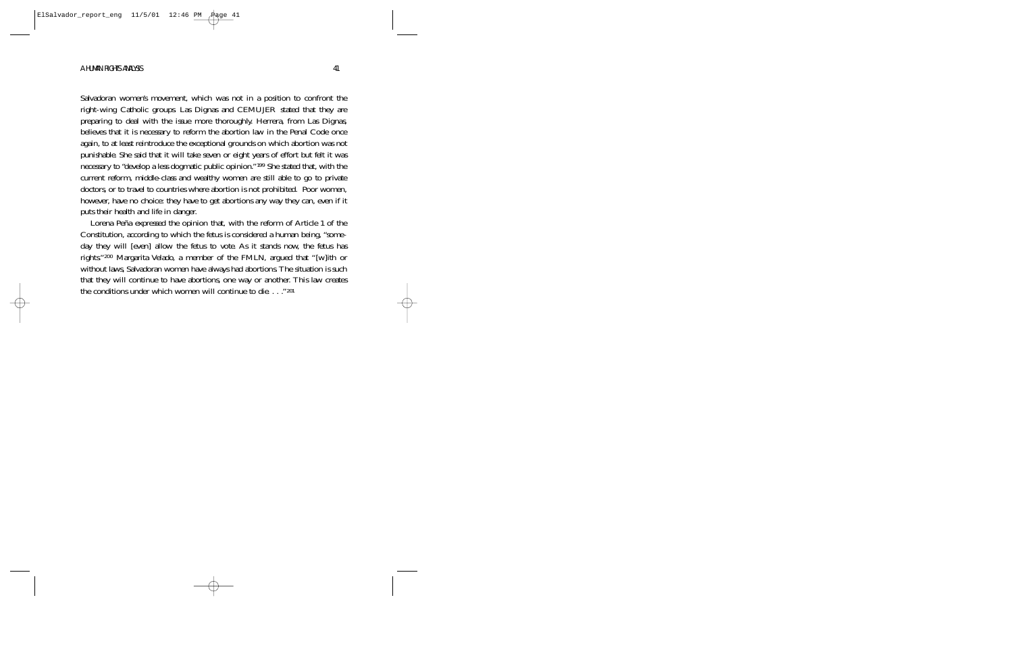Salvadoran women's movement, which was not in a position to confront the right-wing Catholic groups. Las Dignas and CEMUJER stated that they are preparing to deal with the issue more thoroughly. Herrera, from Las Dignas, believes that it is necessary to reform the abortion law in the Penal Code once again, to at least reintroduce the exceptional grounds on which abortion was not punishable. She said that it will take seven or eight years of effort but felt it was necessary to "develop a less dogmatic public opinion."199 She stated that, with the current reform, middle-class and wealthy women are still able to go to private doctors, or to travel to countries where abortion is not prohibited. Poor women, however, have no choice: they have to get abortions any way they can, even if it puts their health and life in danger.

Lorena Peña expressed the opinion that, with the reform of Article 1 of the Constitution, according to which the fetus is considered a human being, "someday they will [even] allow the fetus to vote. As it stands now, the fetus has rights."200 Margarita Velado, a member of the FMLN, argued that "[w]ith or without laws, Salvadoran women have always had abortions. The situation is such that they will continue to have abortions, one way or another. This law creates the conditions under which women will continue to die. . . ."201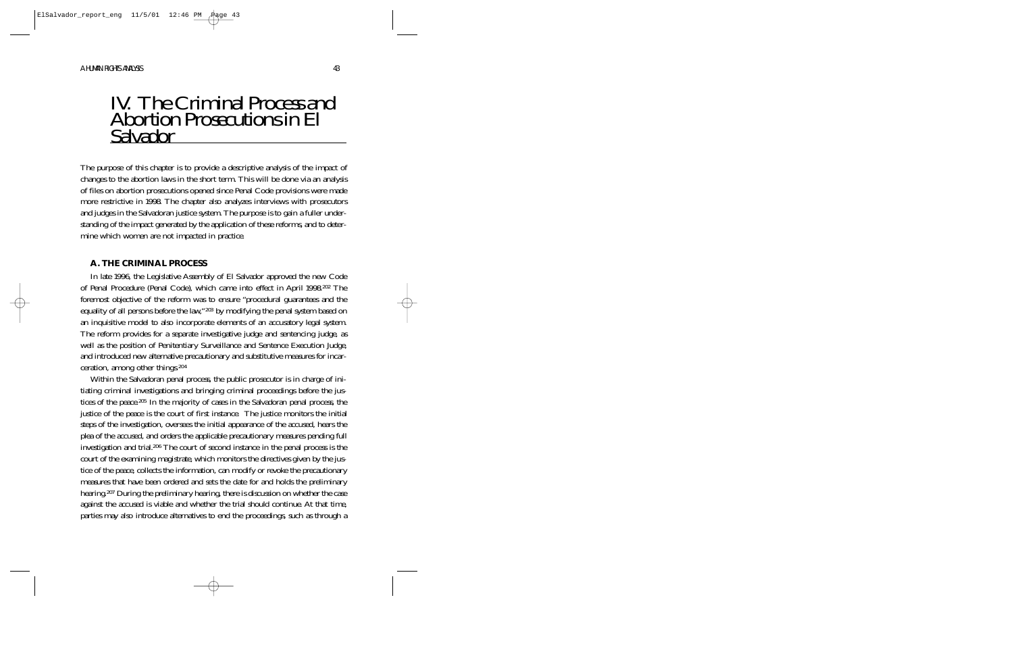### IV. The Criminal Process and Abortion Prosecutions in El Salvador

The purpose of this chapter is to provide a descriptive analysis of the impact of changes to the abortion laws in the short term. This will be done via an analysis of files on abortion prosecutions opened since Penal Code provisions were made more restrictive in 1998. The chapter also analyzes interviews with prosecutors and judges in the Salvadoran justice system. The purpose is to gain a fuller understanding of the impact generated by the application of these reforms, and to determine which women are not impacted in practice.

#### **A. THE CRIMINAL PROCESS**

In late 1996, the Legislative Assembly of El Salvador approved the new Code of Penal Procedure (Penal Code), which came into effect in April 1998.202 The foremost objective of the reform was to ensure "procedural guarantees and the equality of all persons before the law,"203 by modifying the penal system based on an inquisitive model to also incorporate elements of an accusatory legal system. The reform provides for a separate investigative judge and sentencing judge, as well as the position of Penitentiary Surveillance and Sentence Execution Judge, and introduced new alternative precautionary and substitutive measures for incarceration, among other things.204

Within the Salvadoran penal process, the public prosecutor is in charge of initiating criminal investigations and bringing criminal proceedings before the justices of the peace.205 In the majority of cases in the Salvadoran penal process, the justice of the peace is the court of first instance. The justice monitors the initial steps of the investigation, oversees the initial appearance of the accused, hears the plea of the accused, and orders the applicable precautionary measures pending full investigation and trial.206 The court of second instance in the penal process is the court of the examining magistrate, which monitors the directives given by the justice of the peace, collects the information, can modify or revoke the precautionary measures that have been ordered and sets the date for and holds the preliminary hearing.207 During the preliminary hearing, there is discussion on whether the case against the accused is viable and whether the trial should continue. At that time, parties may also introduce alternatives to end the proceedings, such as through a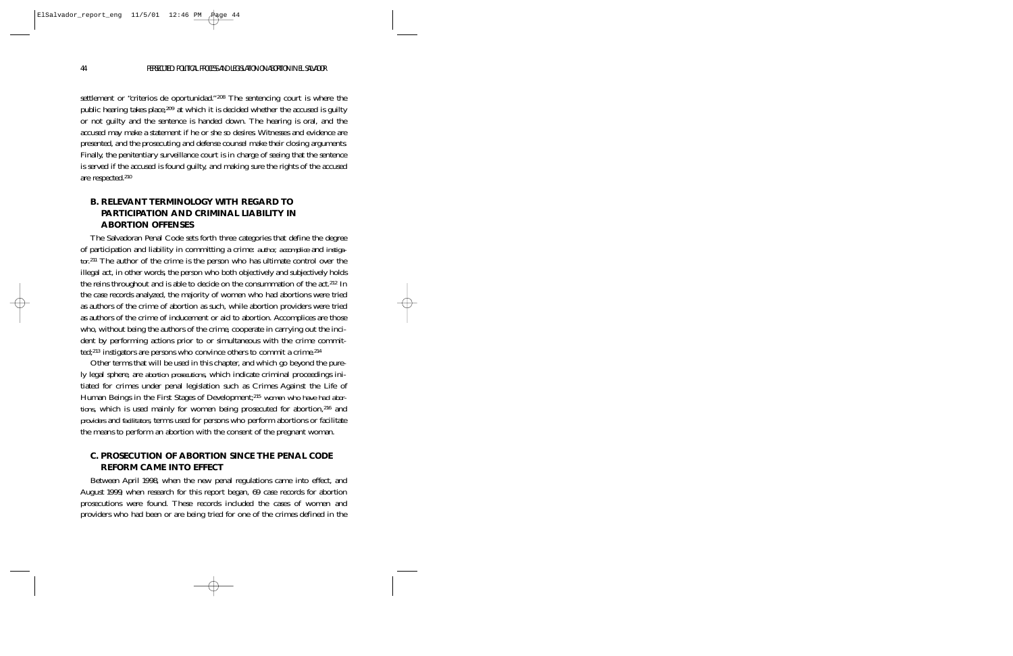settlement or "criterios de oportunidad."208 The sentencing court is where the public hearing takes place,<sup>209</sup> at which it is decided whether the accused is guilty or not guilty and the sentence is handed down. The hearing is oral, and the accused may make a statement if he or she so desires. Witnesses and evidence are presented, and the prosecuting and defense counsel make their closing arguments. Finally, the penitentiary surveillance court is in charge of seeing that the sentence is served if the accused is found guilty, and making sure the rights of the accused are respected.210

#### **B. RELEVANT TE RMINOLOGY WITH REGARD TO PARTICIPATION AND CRIMINAL LIABILITY IN ABORTION OFFENSES**

The Salvadoran Penal Code sets forth three categories that define the degree of participation and liability in committing a crime: *author, accomplice* and *instigator*.<sup>211</sup> The author of the crime is the person who has ultimate control over the illegal act, in other words, the person who both objectively and subjectively holds the reins throughout and is able to decide on the consummation of the act.212 In the case records analyzed, the majority of women who had abortions were tried as authors of the crime of abortion as such, while abortion providers were tried as authors of the crime of inducement or aid to abortion. Accomplices are those who, without being the authors of the crime, cooperate in carrying out the incident by performing actions prior to or simultaneous with the crime committed;213 instigators are persons who convince others to commit a crime.214

Other terms that will be used in this chapter, and which go beyond the purely legal sphere, are *abortion prosecutions*, which indicate criminal proceedings initiated for crimes under penal legislation such as Crimes Against the Life of Human Beings in the First Stages of Development;215 *women who have had abortions*, which is used mainly for women being prosecuted for abortion,216 and *providers* and *facilitators,* terms used for persons who perform abortions or facilitate the means to perform an abortion with the consent of the pregnant woman.

#### **C. PROSECUTION OF ABORTION SINCE THE PENAL CODE REFORM CAME INTO EFFECT**

Between April 1998, when the new penal regulations came into effect, and August 1999, when research for this report began, 69 case records for abortion prosecutions were found. These records included the cases of women and providers who had been or are being tried for one of the crimes defined in the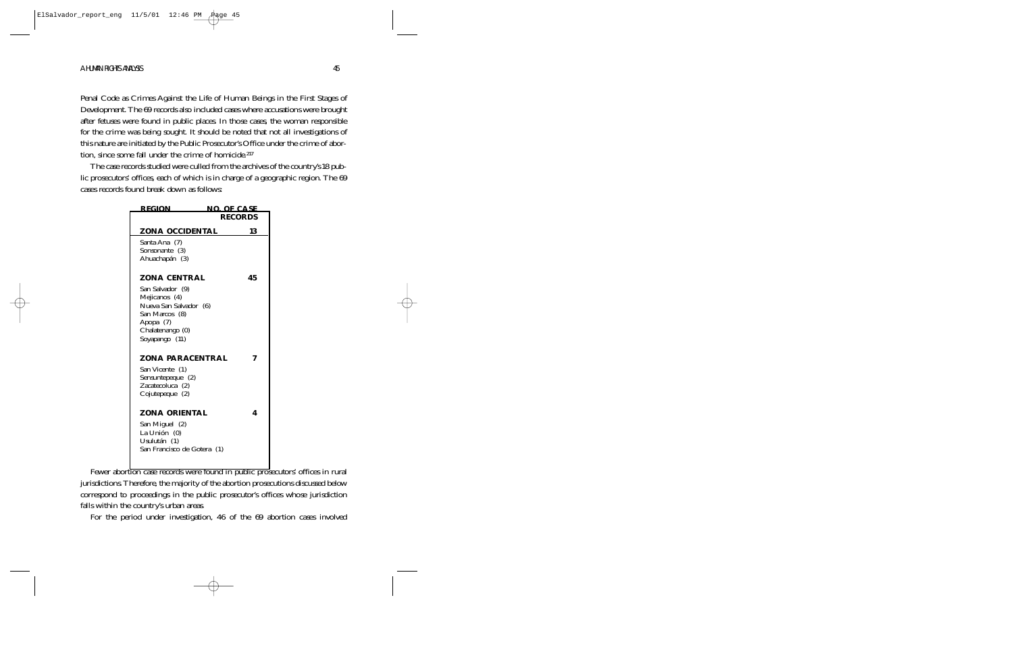Penal Code as Crimes Against the Life of Human Beings in the First Stages of Development. The 69 records also included cases where accusations were brought after fetuses were found in public places. In those cases, the woman responsible for the crime was being sought. It should be noted that not all investigations of this nature are initiated by the Public Prosecutor's Office under the crime of abortion, since some fall under the crime of homicide.217

The case records studied were culled from the archives of the country's 18 public prosecutors' offices, each of which is in charge of a geographic region. The 69 cases records found break down as follows:

| <b>REGION</b>                                                                                                                    | NO. OF CASE    |
|----------------------------------------------------------------------------------------------------------------------------------|----------------|
|                                                                                                                                  | <b>RECORDS</b> |
| <b>ZONA OCCIDENTAL</b>                                                                                                           | 13             |
| Santa Ana (7)<br>Sonsonante (3)<br>Ahuachapán (3)                                                                                |                |
| <b>ZONA CENTRAL</b>                                                                                                              | 45             |
| San Salvador (9)<br>Mejicanos (4)<br>Nueva San Salvador (6)<br>San Marcos (8)<br>Apopa (7)<br>Chalatenango (0)<br>Soyapango (11) |                |
| ZONA PARACENTRAL                                                                                                                 | 7              |
| San Vicente (1)<br>Sensuntepeque (2)<br>Zacatecoluca (2)<br>Cojutepeque (2)                                                      |                |
| ZONA ORIENTAL<br>San Miguel (2)<br>La Unión (0)                                                                                  | 4              |
| Usulután (1)                                                                                                                     |                |
| San Francisco de Gotera (1)                                                                                                      |                |

Fewer abortion case records were found in public prosecutors' offices in rural jurisdictions. Therefore, the majority of the abortion prosecutions discussed below correspond to proceedings in the public prosecutor's offices whose jurisdiction falls within the country's urban areas.

For the period under investigation, 46 of the 69 abortion cases involved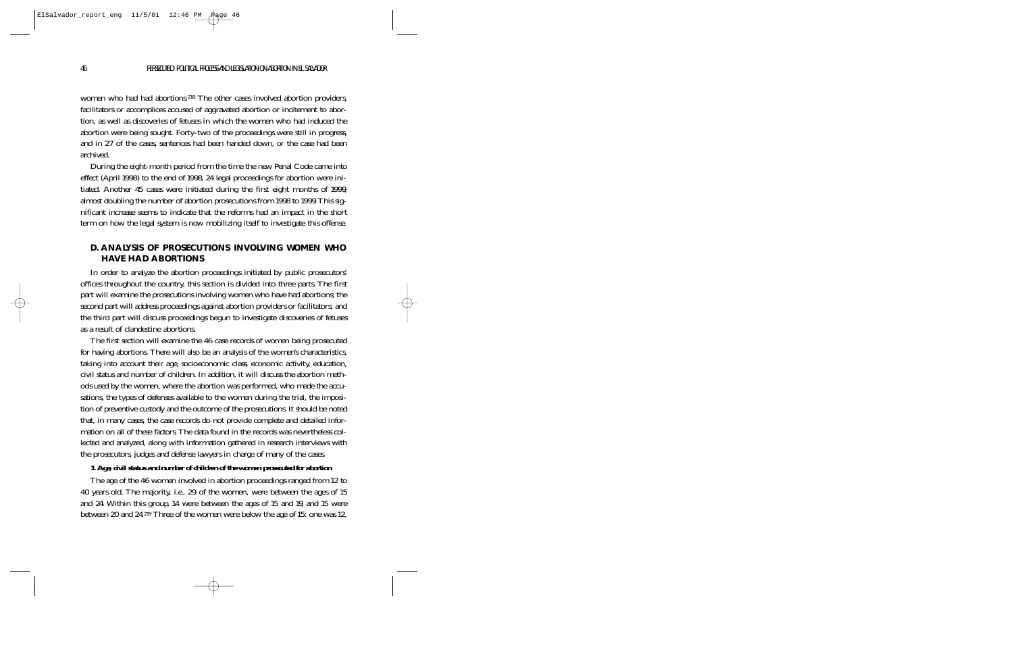women who had had abortions.<sup>218</sup> The other cases involved abortion providers, facilitators or accomplices accused of aggravated abortion or incitement to abortion, as well as discoveries of fetuses in which the women who had induced the abortion were being sought. Forty-two of the proceedings were still in progress, and in 27 of the cases, sentences had been handed down, or the case had been archived.

During the eight-month period from the time the new Penal Code came into effect (April 1998) to the end of 1998, 24 legal proceedings for abortion were initiated. Another 45 cases were initiated during the first eight months of 1999, almost doubling the number of abortion prosecutions from 1998 to 1999. This significant increase seems to indicate that the reforms had an impact in the short term on how the legal system is now mobilizing itself to investigate this offense.

#### **D. ANALYSIS OF PROSECUTIONS INVOLVING WOMEN WHO HAVE HAD ABORTIONS**

In order to analyze the abortion proceedings initiated by public prosecutors' offices throughout the country, this section is divided into three parts. The first part will examine the prosecutions involving women who have had abortions; the second part will address proceedings against abortion providers or facilitators; and the third part will discuss proceedings begun to investigate discoveries of fetuses as a result of clandestine abortions.

The first section will examine the 46 case records of women being prosecuted for having abortions. There will also be an analysis of the women's characteristics, taking into account their age, socioeconomic class, economic activity, education, civil status and number of children. In addition, it will discuss the abortion methods used by the women, where the abortion was performed, who made the accusations, the types of defenses available to the women during the trial, the imposition of preventive custody and the outcome of the prosecutions. It should be noted that, in many cases, the case records do not provide complete and detailed information on all of these factors. The data found in the records was nevertheless collected and analyzed, along with information gathered in research interviews with the prosecutors, judges and defense lawyers in charge of many of the cases.

#### *1. Age, civil status and number of children of the women prosecuted for abortion*

The age of the 46 women involved in abortion proceedings ranged from 12 to 40 years old. The majority, i.e., 29 of the women, were between the ages of 15 and 24. Within this group, 14 were between the ages of 15 and 19, and 15 were between 20 and 24.219 Three of the women were below the age of 15: one was 12,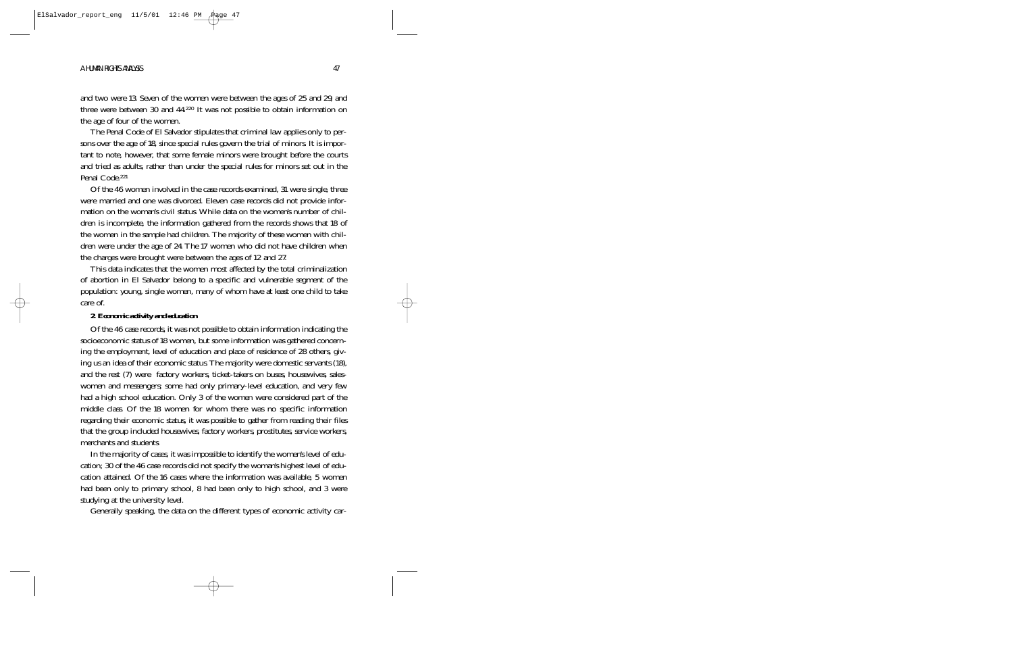and two were 13. Seven of the women were between the ages of 25 and 29, and three were between 30 and 44.220 It was not possible to obtain information on the age of four of the women.

The Penal Code of El Salvador stipulates that criminal law applies only to persons over the age of 18, since special rules govern the trial of minors. It is important to note, however, that some female minors were brought before the courts and tried as adults, rather than under the special rules for minors set out in the Penal Code.221

Of the 46 women involved in the case records examined, 31 were single, three were married and one was divorced. Eleven case records did not provide information on the woman's civil status. While data on the women's number of children is incomplete, the information gathered from the records shows that 18 of the women in the sample had children. The majority of these women with children were under the age of 24. The 17 women who did not have children when the charges were brought were between the ages of 12 and 27.

This data indicates that the women most affected by the total criminalization of abortion in El Salvador belong to a specific and vulnerable segment of the population: young, single women, many of whom have at least one child to take care of.

#### *2. Economic activity and education*

Of the 46 case records, it was not possible to obtain information indicating the socioeconomic status of 18 women, but some information was gathered concerning the employment, level of education and place of residence of 28 others, giving us an idea of their economic status. The majority were domestic servants (18), and the rest (7) were factory workers, ticket-takers on buses, housewives, saleswomen and messengers; some had only primary-level education, and very few had a high school education. Only 3 of the women were considered part of the middle class. Of the 18 women for whom there was no specific information regarding their economic status, it was possible to gather from reading their files that the group included housewives, factory workers, prostitutes, service workers, merchants and students.

In the majority of cases, it was impossible to identify the women's level of education; 30 of the 46 case records did not specify the woman's highest level of education attained. Of the 16 cases where the information was available, 5 women had been only to primary school, 8 had been only to high school, and 3 were studying at the university level.

Generally speaking, the data on the different types of economic activity car-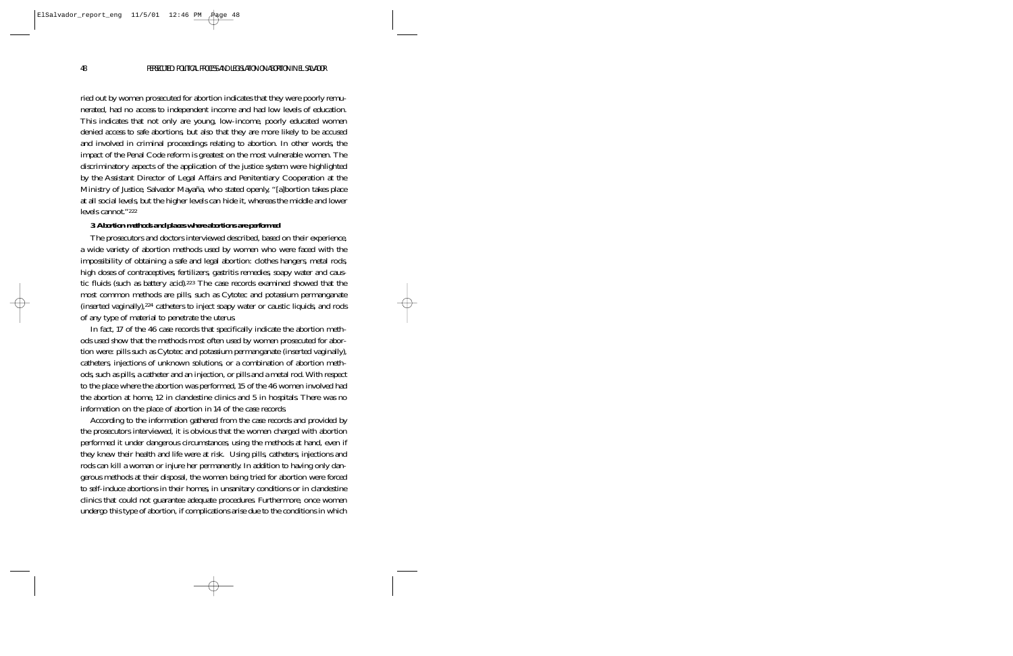ried out by women prosecuted for abortion indicates that they were poorly remunerated, had no access to independent income and had low levels of education. This indicates that not only are young, low-income, poorly educated women denied access to safe abortions, but also that they are more likely to be accused and involved in criminal proceedings relating to abortion. In other words, the impact of the Penal Code reform is greatest on the most vulnerable women. The discriminatory aspects of the application of the justice system were highlighted by the Assistant Director of Legal Affairs and Penitentiary Cooperation at the Ministry of Justice, Salvador Mayaña, who stated openly, "[a]bortion takes place at all social levels, but the higher levels can hide it, whereas the middle and lower levels cannot."222

#### *3.Abortion methods and places where abortions are performed*

The prosecutors and doctors interviewed described, based on their experience, a wide variety of abortion methods used by women who were faced with the impossibility of obtaining a safe and legal abortion: clothes hangers, metal rods, high doses of contraceptives, fertilizers, gastritis remedies, soapy water and caustic fluids (such as battery acid).223 The case records examined showed that the most common methods are pills, such as Cytotec and potassium permanganate (inserted vaginally),224 catheters to inject soapy water or caustic liquids, and rods of any type of material to penetrate the uterus.

In fact, 17 of the 46 case records that specifically indicate the abortion methods used show that the methods most often used by women prosecuted for abortion were: pills such as Cytotec and potassium permanganate (inserted vaginally), catheters, injections of unknown solutions, or a combination of abortion methods, such as pills, a catheter and an injection, or pills and a metal rod. With respect to the place where the abortion was performed, 15 of the 46 women involved had the abortion at home, 12 in clandestine clinics and 5 in hospitals. There was no information on the place of abortion in 14 of the case records.

According to the information gathered from the case records and provided by the prosecutors interviewed, it is obvious that the women charged with abortion performed it under dangerous circumstances, using the methods at hand, even if they knew their health and life were at risk. Using pills, catheters, injections and rods can kill a woman or injure her permanently. In addition to having only dangerous methods at their disposal, the women being tried for abortion were forced to self-induce abortions in their homes, in unsanitary conditions or in clandestine clinics that could not guarantee adequate procedures. Furthermore, once women undergo this type of abortion, if complications arise due to the conditions in which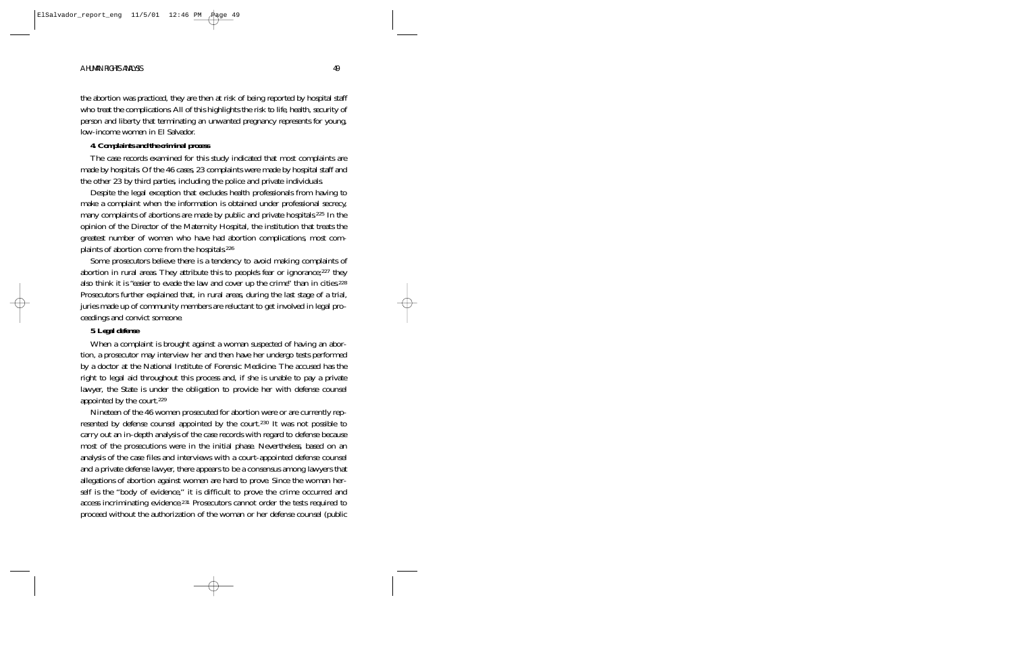the abortion was practiced, they are then at risk of being reported by hospital staff who treat the complications. All of this highlights the risk to life, health, security of person and liberty that terminating an unwanted pregnancy represents for young, low-income women in El Salvador.

#### *4. Complaints and the criminal process*

The case records examined for this study indicated that most complaints are made by hospitals. Of the 46 cases, 23 complaints were made by hospital staff and the other 23 by third parties, including the police and private individuals.

Despite the legal exception that excludes health professionals from having to make a complaint when the information is obtained under professional secrecy, many complaints of abortions are made by public and private hospitals.225 In the opinion of the Director of the Maternity Hospital, the institution that treats the greatest number of women who have had abortion complications, most complaints of abortion come from the hospitals.226

Some prosecutors believe there is a tendency to avoid making complaints of abortion in rural areas. They attribute this to people's fear or ignorance;227 they also think it is "easier to evade the law and cover up the crime" than in cities.228 Prosecutors further explained that, in rural areas, during the last stage of a trial, juries made up of community members are reluctant to get involved in legal proceedings and convict someone.

#### *5. Legal defense*

When a complaint is brought against a woman suspected of having an abortion, <sup>a</sup> prosecutor may interview her and then have her undergo tests performed by a doctor at the National Institute of Forensic Medicine. The accused has the right to legal aid throughout this process and, if she is unable to pay a private lawyer, the State is under the obligation to provide her with defense counsel appointed by the court.229

Nineteen of the 46 women prosecuted for abortion were or are currently represented by defense counsel appointed by the court.230 It was not possible to carry out an in-depth analysis of the case records with regard to defense because most of the prosecutions were in the initial phase. Nevertheless, based on an analysis of the case files and interviews with a court-appointed defense counsel and a private defense lawyer, there appears to be a consensus among lawyers that allegations of abortion against women are hard to prove. Since the woman herself is the "body of evidence," it is difficult to prove the crime occurred and access incriminating evidence.231 Prosecutors cannot order the tests required to proceed without the authorization of the woman or her defense counsel (public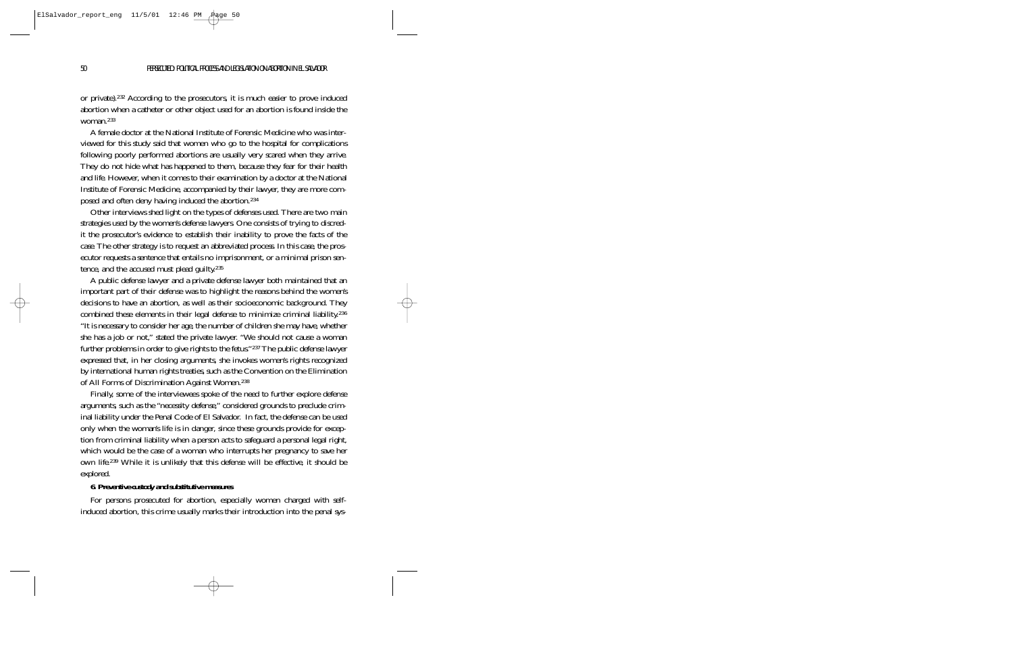or private).232 According to the prosecutors, it is much easier to prove induced abortion when a catheter or other object used for an abortion is found inside the woman.<sup>233</sup>

A female doctor at the National Institute of Forensic Medicine who was interviewed for this study said that women who go to the hospital for complications following poorly performed abortions are usually very scared when they arrive. They do not hide what has happened to them, because they fear for their health and life. However, when it comes to their examination by a doctor at the National Institute of Forensic Medicine, accompanied by their lawyer, they are more composed and often deny having induced the abortion.234

Other interviews shed light on the types of defenses used. There are two main strategies used by the women's defense lawyers. One consists of trying to discredit the prosecutor's evidence to establish their inability to prove the facts of the case. The other strategy is to request an abbreviated process. In this case, the prosecutor requests a sentence that entails no imprisonment, or a minimal prison sentence, and the accused must plead guilty.235

A public defense lawyer and a private defense lawyer both maintained that an important part of their defense was to highlight the reasons behind the women's decisions to have an abortion, as well as their socioeconomic background. They combined these elements in their legal defense to minimize criminal liability.236 "It is necessary to consider her age, the number of children she may have, whether she has a job or not," stated the private lawyer. "We should not cause a woman further problems in order to give rights to the fetus."<sup>237</sup> The public defense lawyer expressed that, in her closing arguments, she invokes women's rights recognized by international human rights treaties, such as the Convention on the Elimination of All Forms of Discrimination Against Women.238

Finally, some of the interviewees spoke of the need to further explore defense arguments, such as the "necessity defense," considered grounds to preclude criminal liability under the Penal Code of El Salvador. In fact, the defense can be used only when the woman's life is in danger, since these grounds provide for exception from criminal liability when a person acts to safeguard a personal legal right, which would be the case of a woman who interrupts her pregnancy to save her own life.239 While it is unlikely that this defense will be effective, it should be explored.

#### *6. Preventive custody and substitutive measures*

For persons prosecuted for abortion, especially women charged with selfinduced abortion, this crime usually marks their introduction into the penal sys-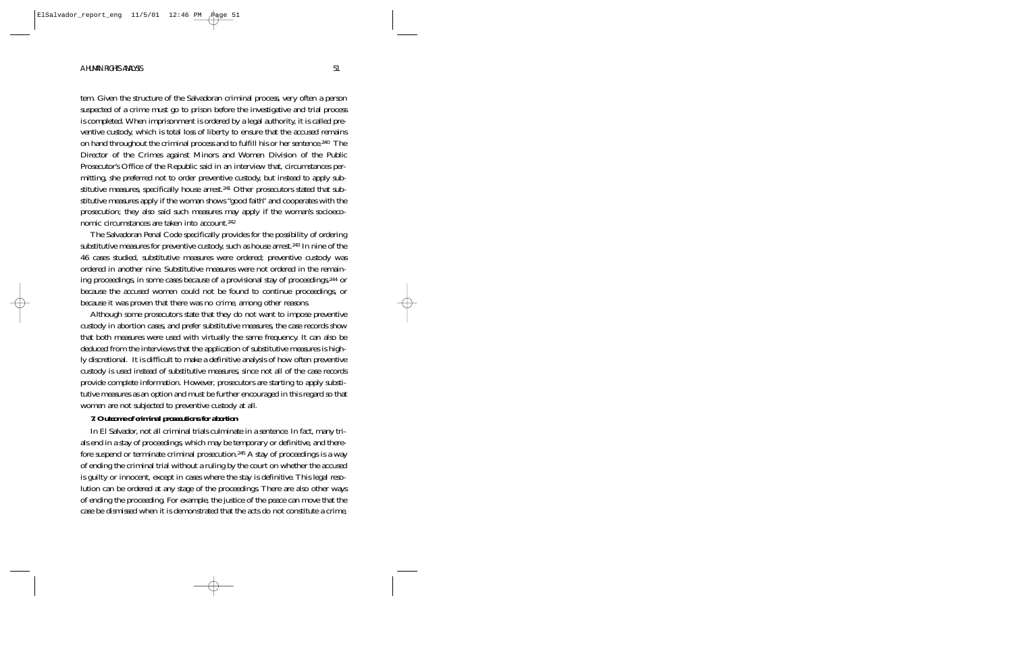tem. Given the structure of the Salvadoran criminal process, very often a person suspected of a crime must go to prison before the investigative and trial process is completed. When imprisonment is ordered by a legal authority, it is called preventive custody, which is total loss of liberty to ensure that the accused remains on hand throughout the criminal process and to fulfill his or her sentence.240 The Director of the Crimes against Minors and Women Division of the Public Prosecutor's Office of the Republic said in an interview that, circumstances permitting, she preferred not to order preventive custody, but instead to apply substitutive measures, specifically house arrest.241 Other prosecutors stated that substitutive measures apply if the woman shows "good faith" and cooperates with the prosecution; they also said such measures may apply if the woman's socioeconomic circumstances are taken into account.242

The Salvadoran Penal Code specifically provides for the possibility of ordering substitutive measures for preventive custody, such as house arrest.243 In nine of the 46 cases studied, substitutive measures were ordered; preventive custody was ordered in another nine. Substitutive measures were not ordered in the remaining proceedings, in some cases because of a provisional stay of proceedings,244 or because the accused women could not be found to continue proceedings, or because it was proven that there was no crime, among other reasons.

Although some prosecutors state that they do not want to impose preventive custody in abortion cases, and prefer substitutive measures, the case records show that both measures were used with virtually the same frequency. It can also be deduced from the interviews that the application of substitutive measures is highly discretional. It is difficult to make a definitive analysis of how often preventive custody is used instead of substitutive measures, since not all of the case records provide complete information. However, prosecutors are starting to apply substitutive measures as an option and must be further encouraged in this regard so that women are not subjected to preventive custody at all.

#### *7. Outcome of criminal prosecutions for abortion*

In El Salvador, not all criminal trials culminate in a sentence. In fact, many trials end in a stay of proceedings, which may be temporary or definitive, and therefore suspend or terminate criminal prosecution.245 A stay of proceedings is a way of ending the criminal trial without a ruling by the court on whether the accused is guilty or innocent, except in cases where the stay is definitive. This legal resolution can be ordered at any stage of the proceedings. There are also other ways of ending the proceeding. For example, the justice of the peace can move that the case be dismissed when it is demonstrated that the acts do not constitute a crime,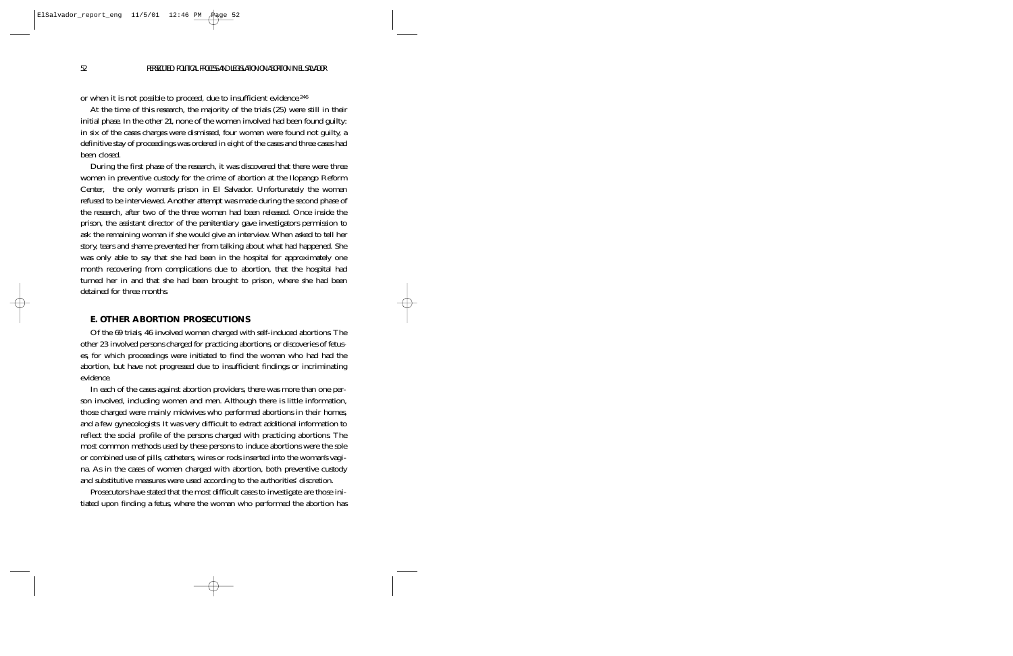or when it is not possible to proceed, due to insufficient evidence.246

At the time of this research, the majority of the trials (25) were still in their initial phase. In the other 21, none of the women involved had been found guilty: in six of the cases charges were dismissed, four women were found not guilty, <sup>a</sup> definitive stay of proceedings was ordered in eight of the cases and three cases had been closed.

During the first phase of the research, it was discovered that there were three women in preventive custody for the crime of abortion at the Ilopango Reform Center, the only women's prison in El Salvador. Unfortunately the women refused to be interviewed. Another attempt was made during the second phase of the research, after two of the three women had been released. Once inside the prison, the assi stant director of the penitentiary gave investigators permission to ask the remaining woman if she would give an interview. When asked to tell her story, tears and shame prevented her from talking about what had happened. She was only able to say that she had been in the hospital for approximately one month recovering from complications due to abortion, that the hospital had turned her in and that she had been brought to prison, where she had been detained for three months.

#### **E. OTHER ABORTION PROSECUTIONS**

Of the 69 trials, 46 involved women charged with self-induced abortions. The other 23 involved persons charged for practicing abortions, or discoveries of fetuses, for which proceedings were initiated to find the woman who had had the abortion, but have not progressed due to insufficient findings or incriminating evidence.

In each of the cases against abortion providers, there was more than one person involved, including women and men. Although there is little information, those charged were mainly midwives who performed abortions in their homes, and a few gynecologists. It was very difficult to extract additional information to reflect the social profile of the persons charged with practicing abortions. The most common methods used by these persons to induce abortions were the sole or combined use of pills, catheters, wires or rods inserted into the woman's vagina. As in the cases of women charged with abortion, both preventive custody and substitutive measures were used according to the authorities' discretion.

Prosecutors have stated that the most difficult cases to investigate are those initiated upon finding a fetus, where the woman who performed the abortion has